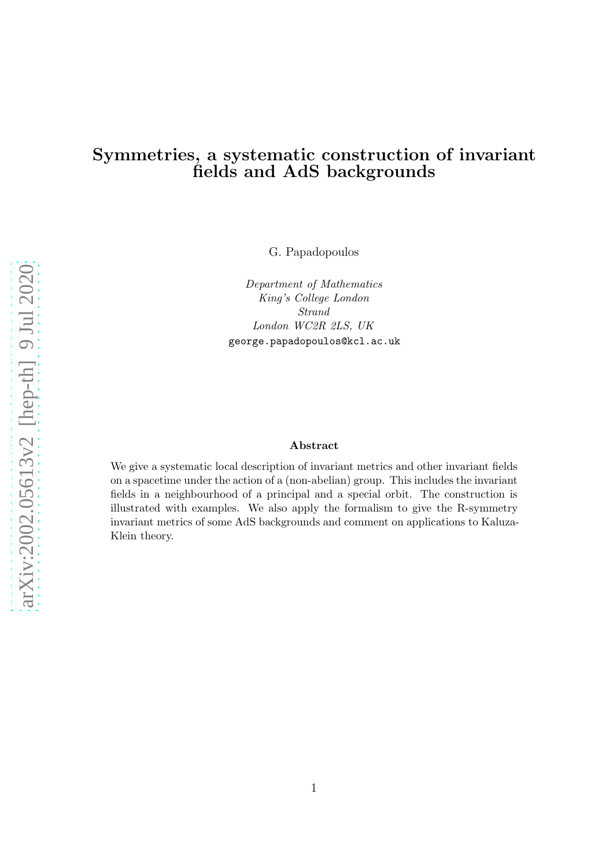# Symmetries, a systematic construction of invariant fields and AdS backgrounds

G. Papadopoulos

Department of Mathematics King's College London Strand London WC2R 2LS, UK george.papadopoulos@kcl.ac.uk

#### Abstract

We give a systematic local description of invariant metrics and other invariant fields on a spacetime under the action of a (non-abelian) group. This includes the invariant fields in a neighbourhood of a principal and a special orbit. The construction is illustrated with examples. We also apply the formalism to give the R-symmetry invariant metrics of some AdS backgrounds and comment on applications to Kaluza-Klein theory.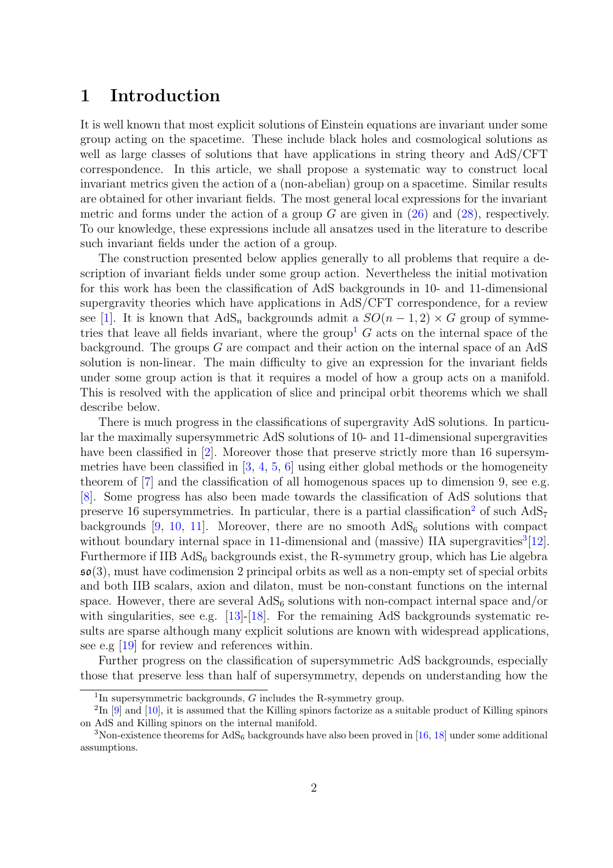# 1 Introduction

It is well known that most explicit solutions of Einstein equations are invariant under some group acting on the spacetime. These include black holes and cosmological solutions as well as large classes of solutions that have applications in string theory and AdS/CFT correspondence. In this article, we shall propose a systematic way to construct local invariant metrics given the action of a (non-abelian) group on a spacetime. Similar results are obtained for other invariant fields. The most general local expressions for the invariant metric and forms under the action of a group  $G$  are given in  $(26)$  and  $(28)$ , respectively. To our knowledge, these expressions include all ansatzes used in the literature to describe such invariant fields under the action of a group.

The construction presented below applies generally to all problems that require a description of invariant fields under some group action. Nevertheless the initial motivation for this work has been the classification of AdS backgrounds in 10- and 11-dimensional supergravity theories which have applications in AdS/CFT correspondence, for a review see [\[1\]](#page-20-0). It is known that  $AdS_n$  backgrounds admit a  $SO(n-1,2) \times G$  group of symme-tries that leave all fields invariant, where the group<sup>[1](#page-1-0)</sup>  $G$  acts on the internal space of the background. The groups  $G$  are compact and their action on the internal space of an AdS solution is non-linear. The main difficulty to give an expression for the invariant fields under some group action is that it requires a model of how a group acts on a manifold. This is resolved with the application of slice and principal orbit theorems which we shall describe below.

There is much progress in the classifications of supergravity AdS solutions. In particular the maximally supersymmetric AdS solutions of 10- and 11-dimensional supergravities have been classified in [\[2\]](#page-20-1). Moreover those that preserve strictly more than 16 supersymmetries have been classified in [\[3,](#page-20-2) [4,](#page-20-3) [5,](#page-20-4) [6\]](#page-20-5) using either global methods or the homogeneity theorem of [\[7\]](#page-21-0) and the classification of all homogenous spaces up to dimension 9, see e.g. [\[8\]](#page-21-1). Some progress has also been made towards the classification of AdS solutions that preserve 16 supersymmetries. In particular, there is a partial classification<sup>[2](#page-1-1)</sup> of such  $AdS_7$ backgrounds [\[9,](#page-21-2) [10,](#page-21-3) [11\]](#page-21-4). Moreover, there are no smooth  $AdS_6$  solutions with compact without boundary internal space in 11-dimensional and (massive) IIA supergravities<sup>[3](#page-1-2)</sup>[\[12\]](#page-21-5). Furthermore if  $IIB\ AdS_6$  backgrounds exist, the R-symmetry group, which has Lie algebra  $\mathfrak{so}(3)$ , must have codimension 2 principal orbits as well as a non-empty set of special orbits and both IIB scalars, axion and dilaton, must be non-constant functions on the internal space. However, there are several  $AdS_6$  solutions with non-compact internal space and/or with singularities, see e.g.  $[13]-[18]$  $[13]-[18]$ . For the remaining AdS backgrounds systematic results are sparse although many explicit solutions are known with widespread applications, see e.g [\[19\]](#page-21-8) for review and references within.

Further progress on the classification of supersymmetric AdS backgrounds, especially those that preserve less than half of supersymmetry, depends on understanding how the

<span id="page-1-0"></span><sup>&</sup>lt;sup>1</sup>In supersymmetric backgrounds,  $G$  includes the R-symmetry group.

<span id="page-1-1"></span><sup>&</sup>lt;sup>2</sup>In [\[9\]](#page-21-2) and [\[10\]](#page-21-3), it is assumed that the Killing spinors factorize as a suitable product of Killing spinors on AdS and Killing spinors on the internal manifold.

<span id="page-1-2"></span><sup>&</sup>lt;sup>3</sup>Non-existence theorems for  $AdS_6$  backgrounds have also been proved in [\[16,](#page-21-9) [18\]](#page-21-7) under some additional assumptions.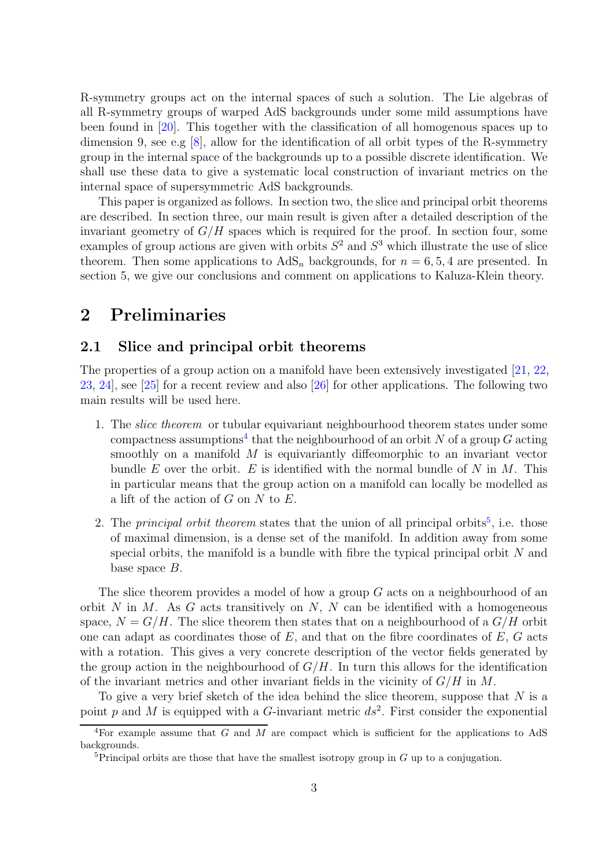R-symmetry groups act on the internal spaces of such a solution. The Lie algebras of all R-symmetry groups of warped AdS backgrounds under some mild assumptions have been found in [\[20\]](#page-22-0). This together with the classification of all homogenous spaces up to dimension 9, see e.g  $[8]$ , allow for the identification of all orbit types of the R-symmetry group in the internal space of the backgrounds up to a possible discrete identification. We shall use these data to give a systematic local construction of invariant metrics on the internal space of supersymmetric AdS backgrounds.

This paper is organized as follows. In section two, the slice and principal orbit theorems are described. In section three, our main result is given after a detailed description of the invariant geometry of  $G/H$  spaces which is required for the proof. In section four, some examples of group actions are given with orbits  $S^2$  and  $S^3$  which illustrate the use of slice theorem. Then some applications to  $AdS_n$  backgrounds, for  $n = 6, 5, 4$  are presented. In section 5, we give our conclusions and comment on applications to Kaluza-Klein theory.

# 2 Preliminaries

## 2.1 Slice and principal orbit theorems

The properties of a group action on a manifold have been extensively investigated [\[21,](#page-22-1) [22,](#page-22-2) [23,](#page-22-3) [24\]](#page-22-4), see [\[25\]](#page-22-5) for a recent review and also [\[26\]](#page-22-6) for other applications. The following two main results will be used here.

- 1. The slice theorem or tubular equivariant neighbourhood theorem states under some compactness assumptions<sup>[4](#page-2-0)</sup> that the neighbourhood of an orbit N of a group G acting smoothly on a manifold  $M$  is equivariantly diffeomorphic to an invariant vector bundle E over the orbit. E is identified with the normal bundle of N in  $M$ . This in particular means that the group action on a manifold can locally be modelled as a lift of the action of  $G$  on  $N$  to  $E$ .
- 2. The *principal orbit theorem* states that the union of all principal orbits<sup>[5](#page-2-1)</sup>, i.e. those of maximal dimension, is a dense set of the manifold. In addition away from some special orbits, the manifold is a bundle with fibre the typical principal orbit  $N$  and base space B.

The slice theorem provides a model of how a group G acts on a neighbourhood of an orbit  $N$  in  $M$ . As  $G$  acts transitively on  $N$ ,  $N$  can be identified with a homogeneous space,  $N = G/H$ . The slice theorem then states that on a neighbourhood of a  $G/H$  orbit one can adapt as coordinates those of  $E$ , and that on the fibre coordinates of  $E$ ,  $G$  acts with a rotation. This gives a very concrete description of the vector fields generated by the group action in the neighbourhood of  $G/H$ . In turn this allows for the identification of the invariant metrics and other invariant fields in the vicinity of  $G/H$  in M.

To give a very brief sketch of the idea behind the slice theorem, suppose that  $N$  is a point p and M is equipped with a G-invariant metric  $ds^2$ . First consider the exponential

<sup>&</sup>lt;sup>4</sup>For example assume that G and M are compact which is sufficient for the applications to AdS backgrounds.

<span id="page-2-1"></span><span id="page-2-0"></span><sup>&</sup>lt;sup>5</sup>Principal orbits are those that have the smallest isotropy group in  $G$  up to a conjugation.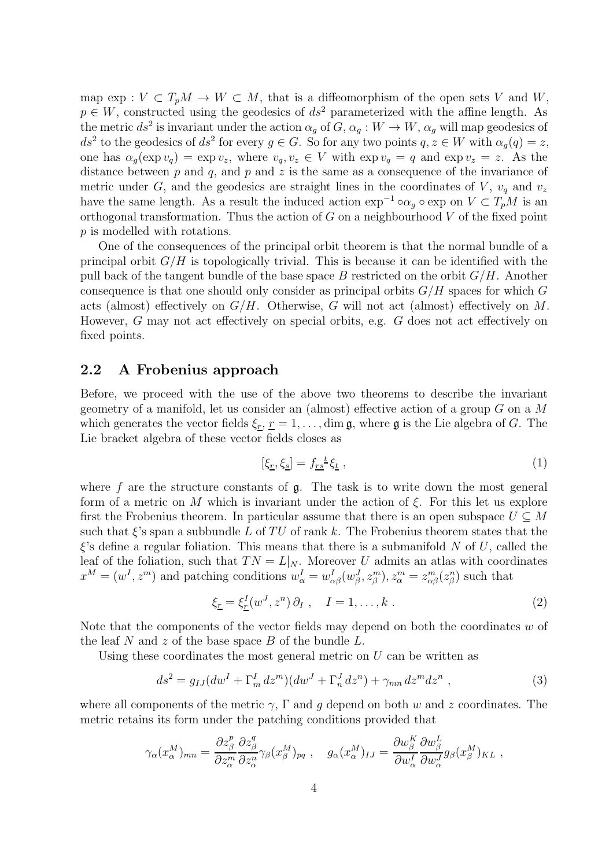map  $\exp: V \subset T_pM \to W \subset M$ , that is a diffeomorphism of the open sets V and W,  $p \in W$ , constructed using the geodesics of  $ds^2$  parameterized with the affine length. As the metric  $ds^2$  is invariant under the action  $\alpha_g$  of  $G$ ,  $\alpha_g: W \to W$ ,  $\alpha_g$  will map geodesics of  $ds^2$  to the geodesics of  $ds^2$  for every  $g \in G$ . So for any two points  $q, z \in W$  with  $\alpha_g(q) = z$ , one has  $\alpha_g(\exp v_q) = \exp v_z$ , where  $v_q, v_z \in V$  with  $\exp v_q = q$  and  $\exp v_z = z$ . As the distance between  $p$  and  $q$ , and  $p$  and  $z$  is the same as a consequence of the invariance of metric under G, and the geodesics are straight lines in the coordinates of V,  $v_q$  and  $v_z$ have the same length. As a result the induced action  $\exp^{-1} \circ \alpha_q \circ \exp$  on  $V \subset T_pM$  is an orthogonal transformation. Thus the action of  $G$  on a neighbourhood  $V$  of the fixed point p is modelled with rotations.

One of the consequences of the principal orbit theorem is that the normal bundle of a principal orbit  $G/H$  is topologically trivial. This is because it can be identified with the pull back of the tangent bundle of the base space B restricted on the orbit  $G/H$ . Another consequence is that one should only consider as principal orbits  $G/H$  spaces for which G acts (almost) effectively on  $G/H$ . Otherwise, G will not act (almost) effectively on M. However, G may not act effectively on special orbits, e.g. G does not act effectively on fixed points.

### 2.2 A Frobenius approach

Before, we proceed with the use of the above two theorems to describe the invariant geometry of a manifold, let us consider an (almost) effective action of a group  $G$  on a  $M$ which generates the vector fields  $\xi_r, r = 1, \ldots, \dim \mathfrak{g}$ , where g is the Lie algebra of G. The Lie bracket algebra of these vector fields closes as

$$
[\xi_{\underline{r}}, \xi_{\underline{s}}] = f_{\underline{r}\underline{s}}{}^{\underline{t}} \xi_{\underline{t}} , \qquad (1)
$$

where  $f$  are the structure constants of  $g$ . The task is to write down the most general form of a metric on M which is invariant under the action of  $\xi$ . For this let us explore first the Frobenius theorem. In particular assume that there is an open subspace  $U \subseteq M$ such that  $\xi$ 's span a subbundle L of TU of rank k. The Frobenius theorem states that the  $\xi$ 's define a regular foliation. This means that there is a submanifold N of U, called the leaf of the foliation, such that  $TN = L|_N$ . Moreover U admits an atlas with coordinates  $x^M = (w^I, z^m)$  and patching conditions  $w^I_\alpha = w^I_{\alpha\beta}(w^J_\beta, z^m_\beta), z^m_\alpha = z^m_{\alpha\beta}(z^n_\beta)$  such that

<span id="page-3-1"></span>
$$
\xi_{\underline{r}} = \xi_{\underline{r}}^I(w^J, z^n) \partial_I , \quad I = 1, \dots, k . \tag{2}
$$

Note that the components of the vector fields may depend on both the coordinates  $w$  of the leaf N and z of the base space B of the bundle  $L$ .

Using these coordinates the most general metric on  $U$  can be written as

<span id="page-3-0"></span>
$$
ds^{2} = g_{IJ}(dw^{I} + \Gamma_{m}^{I} dz^{m})(dw^{J} + \Gamma_{n}^{J} dz^{n}) + \gamma_{mn} dz^{m} dz^{n} , \qquad (3)
$$

where all components of the metric  $\gamma$ ,  $\Gamma$  and g depend on both w and z coordinates. The metric retains its form under the patching conditions provided that

$$
\gamma_\alpha(x_\alpha^M)_{mn} = \frac{\partial z_\beta^p}{\partial z_\alpha^m} \frac{\partial z_\beta^q}{\partial z_\alpha^n} \gamma_\beta(x_\beta^M)_{pq} \ , \quad g_\alpha(x_\alpha^M)_{IJ} = \frac{\partial w_\beta^K}{\partial w_\alpha^I} \frac{\partial w_\beta^L}{\partial w_\alpha^J} g_\beta(x_\beta^M)_{KL} \ ,
$$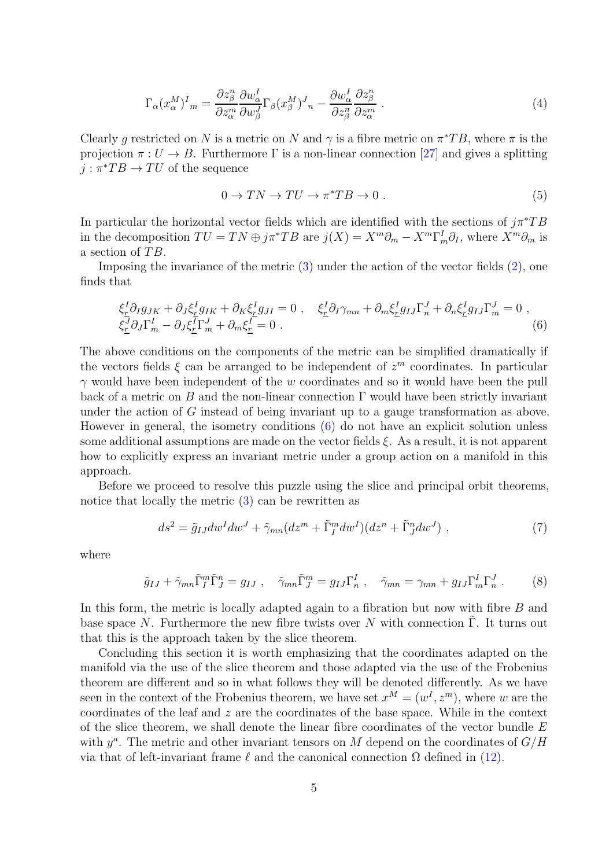$$
\Gamma_{\alpha}(x_{\alpha}^{M})^{I}_{m} = \frac{\partial z_{\beta}^{n}}{\partial z_{\alpha}^{m}} \frac{\partial w_{\alpha}^{I}}{\partial w_{\beta}^{J}} \Gamma_{\beta}(x_{\beta}^{M})^{J}_{n} - \frac{\partial w_{\alpha}^{I}}{\partial z_{\beta}^{n}} \frac{\partial z_{\beta}^{n}}{\partial z_{\alpha}^{m}}.
$$
\n(4)

Clearly g restricted on N is a metric on N and  $\gamma$  is a fibre metric on  $\pi^*TB$ , where  $\pi$  is the projection  $\pi: U \to B$ . Furthermore  $\Gamma$  is a non-linear connection [\[27\]](#page-22-7) and gives a splitting  $j : \pi^*TB \to TU$  of the sequence

$$
0 \to TN \to TU \to \pi^*TB \to 0. \tag{5}
$$

In particular the horizontal vector fields which are identified with the sections of  $i\pi^*TB$ in the decomposition  $TU = TN \oplus j\pi^* TB$  are  $j(X) = X^m \partial_m - X^m \Gamma^I_m \partial_I$ , where  $X^m \partial_m$  is a section of  $TB$ .

Imposing the invariance of the metric [\(3\)](#page-3-0) under the action of the vector fields [\(2\)](#page-3-1), one finds that

<span id="page-4-0"></span>
$$
\xi_{\underline{r}}^I \partial_I g_{JK} + \partial_J \xi_{\underline{r}}^I g_{IK} + \partial_K \xi_{\underline{r}}^I g_{JI} = 0 \ , \quad \xi_{\underline{r}}^I \partial_I \gamma_{mn} + \partial_m \xi_{\underline{r}}^I g_{IJ} \Gamma_n^J + \partial_n \xi_{\underline{r}}^I g_{IJ} \Gamma_m^J = 0 \ ,
$$
  
\n
$$
\xi_{\underline{r}}^J \partial_J \Gamma_m^I - \partial_J \xi_{\underline{r}}^I \Gamma_m^J + \partial_m \xi_{\underline{r}}^I = 0 \ .
$$
\n(6)

The above conditions on the components of the metric can be simplified dramatically if the vectors fields  $\xi$  can be arranged to be independent of  $z<sup>m</sup>$  coordinates. In particular  $\gamma$  would have been independent of the w coordinates and so it would have been the pull back of a metric on B and the non-linear connection  $\Gamma$  would have been strictly invariant under the action of G instead of being invariant up to a gauge transformation as above. However in general, the isometry conditions [\(6\)](#page-4-0) do not have an explicit solution unless some additional assumptions are made on the vector fields  $\xi$ . As a result, it is not apparent how to explicitly express an invariant metric under a group action on a manifold in this approach.

Before we proceed to resolve this puzzle using the slice and principal orbit theorems, notice that locally the metric [\(3\)](#page-3-0) can be rewritten as

<span id="page-4-1"></span>
$$
ds^{2} = \tilde{g}_{IJ}dw^{I}dw^{J} + \tilde{\gamma}_{mn}(dz^{m} + \tilde{\Gamma}_{I}^{m}dw^{I})(dz^{n} + \tilde{\Gamma}_{J}^{n}dw^{J}) , \qquad (7)
$$

where

$$
\tilde{g}_{IJ} + \tilde{\gamma}_{mn} \tilde{\Gamma}_I^m \tilde{\Gamma}_J^n = g_{IJ} , \quad \tilde{\gamma}_{mn} \tilde{\Gamma}_J^m = g_{IJ} \Gamma_n^I , \quad \tilde{\gamma}_{mn} = \gamma_{mn} + g_{IJ} \Gamma_m^I \Gamma_n^J . \tag{8}
$$

In this form, the metric is locally adapted again to a fibration but now with fibre B and base space N. Furthermore the new fibre twists over N with connection  $\Gamma$ . It turns out that this is the approach taken by the slice theorem.

Concluding this section it is worth emphasizing that the coordinates adapted on the manifold via the use of the slice theorem and those adapted via the use of the Frobenius theorem are different and so in what follows they will be denoted differently. As we have seen in the context of the Frobenius theorem, we have set  $x^M = (w^I, z^m)$ , where w are the coordinates of the leaf and z are the coordinates of the base space. While in the context of the slice theorem, we shall denote the linear fibre coordinates of the vector bundle  $E$ with  $y^a$ . The metric and other invariant tensors on M depend on the coordinates of  $G/H$ via that of left-invariant frame  $\ell$  and the canonical connection  $\Omega$  defined in [\(12\)](#page-6-0).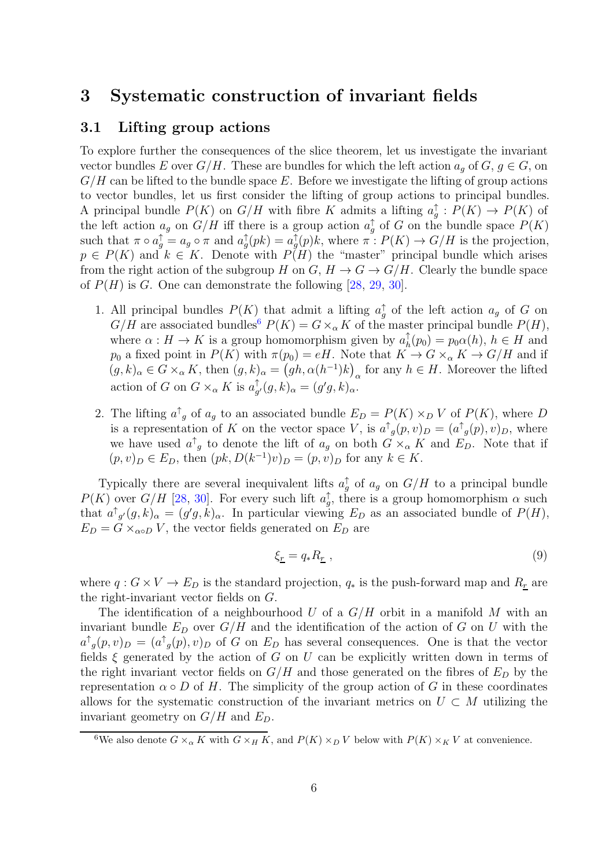## 3 Systematic construction of invariant fields

## 3.1 Lifting group actions

To explore further the consequences of the slice theorem, let us investigate the invariant vector bundles E over  $G/H$ . These are bundles for which the left action  $a_q$  of  $G, g \in G$ , on  $G/H$  can be lifted to the bundle space E. Before we investigate the lifting of group actions to vector bundles, let us first consider the lifting of group actions to principal bundles. A principal bundle  $P(K)$  on  $G/H$  with fibre K admits a lifting  $a_g^{\uparrow} : P(K) \to P(K)$  of the left action  $a_g$  on  $G/H$  iff there is a group action  $a_g^{\uparrow}$  of G on the bundle space  $P(K)$ such that  $\pi \circ a_g^{\uparrow} = a_g \circ \pi$  and  $a_g^{\uparrow}(pk) = a_g^{\uparrow}(p)k$ , where  $\pi : P(K) \to G/H$  is the projection,  $p \in P(K)$  and  $k \in K$ . Denote with  $P(H)$  the "master" principal bundle which arises from the right action of the subgroup H on G,  $H \to G \to G/H$ . Clearly the bundle space of  $P(H)$  is G. One can demonstrate the following [\[28,](#page-22-8) [29,](#page-22-9) [30\]](#page-22-10).

- 1. All principal bundles  $P(K)$  that admit a lifting  $a_g^{\uparrow}$  of the left action  $a_g$  of G on  $G/H$  are associated bundles<sup>[6](#page-5-0)</sup>  $P(K) = G \times_{\alpha} K$  of the master principal bundle  $P(H)$ , where  $\alpha: H \to K$  is a group homomorphism given by  $a_h^{\uparrow}$  $h_h(p_0) = p_0 \alpha(h), h \in H$  and  $p_0$  a fixed point in  $P(K)$  with  $\pi(p_0) = eH$ . Note that  $K \to G \times_{\alpha} K \to G/H$  and if  $(g, k)_{\alpha} \in G \times_{\alpha} K$ , then  $(g, k)_{\alpha} = (gh, \alpha(h^{-1})k)_{\alpha}$  for any  $h \in H$ . Moreover the lifted action of G on  $G \times_{\alpha} K$  is  $a_{\alpha}^{\uparrow}$  $_{g'}^{\uparrow}(g,k)_{\alpha}=(g'g,k)_{\alpha}.$
- 2. The lifting  $a^{\dagger}{}_{g}$  of  $a_{g}$  to an associated bundle  $E_{D} = P(K) \times_{D} V$  of  $P(K)$ , where D is a representation of K on the vector space V, is  $a^{\dagger}{}_{g}(p,v)_{D} = (a^{\dagger}{}_{g}(p),v)_{D}$ , where we have used  $a^{\dagger}_{g}$  to denote the lift of  $a_{g}$  on both  $G \times_{\alpha} K$  and  $E_{D}$ . Note that if  $(p, v)_D \in E_D$ , then  $(pk, D(k^{-1})v)_D = (p, v)_D$  for any  $k \in K$ .

Typically there are several inequivalent lifts  $a_g^{\uparrow}$  of  $a_g$  on  $G/H$  to a principal bundle  $P(K)$  over  $G/H$  [\[28,](#page-22-8) [30\]](#page-22-10). For every such lift  $a_{g}^{\uparrow}$ , there is a group homomorphism  $\alpha$  such that  $a^{\dagger}_{g'}(g,k)_{\alpha} = (g'g,k)_{\alpha}$ . In particular viewing  $E_D$  as an associated bundle of  $P(H)$ ,  $E_D = G \times_{\alpha \circ D} V$ , the vector fields generated on  $E_D$  are

$$
\xi_{\underline{r}} = q_* R_{\underline{r}} \,, \tag{9}
$$

where  $q: G \times V \to E_D$  is the standard projection,  $q_*$  is the push-forward map and  $R_r$  are the right-invariant vector fields on G.

The identification of a neighbourhood U of a  $G/H$  orbit in a manifold M with an invariant bundle  $E_D$  over  $G/H$  and the identification of the action of G on U with the  $a^{\dagger}_{g}(p,v)_{D} = (a^{\dagger}_{g}(p), v)_{D}$  of G on  $E_{D}$  has several consequences. One is that the vector fields  $\xi$  generated by the action of G on U can be explicitly written down in terms of the right invariant vector fields on  $G/H$  and those generated on the fibres of  $E_D$  by the representation  $\alpha \circ D$  of H. The simplicity of the group action of G in these coordinates allows for the systematic construction of the invariant metrics on  $U \subset M$  utilizing the invariant geometry on  $G/H$  and  $E_D$ .

<span id="page-5-0"></span><sup>&</sup>lt;sup>6</sup>We also denote  $G \times_{\alpha} K$  with  $G \times_H K$ , and  $P(K) \times_D V$  below with  $P(K) \times_K V$  at convenience.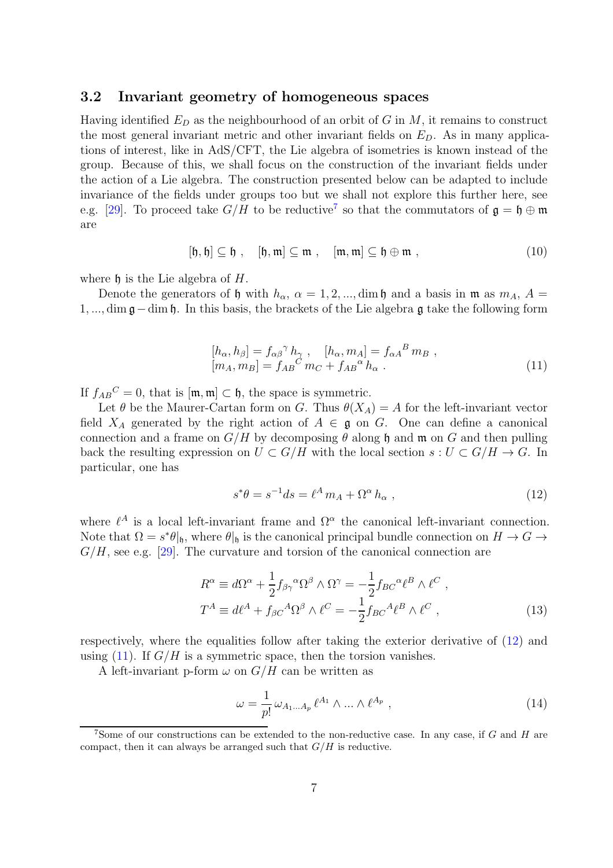#### 3.2 Invariant geometry of homogeneous spaces

Having identified  $E_D$  as the neighbourhood of an orbit of G in M, it remains to construct the most general invariant metric and other invariant fields on  $E<sub>D</sub>$ . As in many applications of interest, like in AdS/CFT, the Lie algebra of isometries is known instead of the group. Because of this, we shall focus on the construction of the invariant fields under the action of a Lie algebra. The construction presented below can be adapted to include invariance of the fields under groups too but we shall not explore this further here, see e.g. [\[29\]](#page-22-9). To proceed take  $G/H$  to be reductive<sup>[7](#page-6-1)</sup> so that the commutators of  $\mathfrak{g} = \mathfrak{h} \oplus \mathfrak{m}$ are

$$
[\mathfrak{h},\mathfrak{h}] \subseteq \mathfrak{h} , \quad [\mathfrak{h},\mathfrak{m}] \subseteq \mathfrak{m} , \quad [\mathfrak{m},\mathfrak{m}] \subseteq \mathfrak{h} \oplus \mathfrak{m} , \tag{10}
$$

where  $\mathfrak h$  is the Lie algebra of H.

Denote the generators of h with  $h_{\alpha}$ ,  $\alpha = 1, 2, ..., dim h$  and a basis in m as  $m_A$ ,  $A =$ 1, ..., dim g−dim h. In this basis, the brackets of the Lie algebra g take the following form

<span id="page-6-2"></span>
$$
[h_{\alpha}, h_{\beta}] = f_{\alpha\beta}^{\ \gamma} h_{\gamma}^{\ \gamma}, \quad [h_{\alpha}, m_{A}] = f_{\alpha A}^{\ B} m_{B}^{\ \gamma},[m_{A}, m_{B}] = f_{AB}^{\ C} m_{C} + f_{AB}^{\ \alpha} h_{\alpha}^{\ \gamma}.
$$
 (11)

If  $f_{AB}{}^C = 0$ , that is  $[\mathfrak{m}, \mathfrak{m}] \subset \mathfrak{h}$ , the space is symmetric.

Let  $\theta$  be the Maurer-Cartan form on G. Thus  $\theta(X_A) = A$  for the left-invariant vector field  $X_A$  generated by the right action of  $A \in \mathfrak{g}$  on G. One can define a canonical connection and a frame on  $G/H$  by decomposing  $\theta$  along h and m on G and then pulling back the resulting expression on  $U \subset G/H$  with the local section  $s : U \subset G/H \to G$ . In particular, one has

<span id="page-6-0"></span>
$$
s^*\theta = s^{-1}ds = \ell^A m_A + \Omega^\alpha h_\alpha , \qquad (12)
$$

where  $\ell^A$  is a local left-invariant frame and  $\Omega^{\alpha}$  the canonical left-invariant connection. Note that  $\Omega = s^*\theta|_{\mathfrak{h}}$ , where  $\theta|_{\mathfrak{h}}$  is the canonical principal bundle connection on  $H \to G \to$  $G/H$ , see e.g. [\[29\]](#page-22-9). The curvature and torsion of the canonical connection are

$$
R^{\alpha} \equiv d\Omega^{\alpha} + \frac{1}{2} f_{\beta\gamma}{}^{\alpha} \Omega^{\beta} \wedge \Omega^{\gamma} = -\frac{1}{2} f_{BC}{}^{\alpha} \ell^{B} \wedge \ell^{C} ,
$$
  

$$
T^{A} \equiv d\ell^{A} + f_{\beta C}{}^{A} \Omega^{\beta} \wedge \ell^{C} = -\frac{1}{2} f_{BC}{}^{A} \ell^{B} \wedge \ell^{C} ,
$$
 (13)

respectively, where the equalities follow after taking the exterior derivative of [\(12\)](#page-6-0) and using  $(11)$ . If  $G/H$  is a symmetric space, then the torsion vanishes.

A left-invariant p-form  $\omega$  on  $G/H$  can be written as

$$
\omega = \frac{1}{p!} \omega_{A_1 \dots A_p} \ell^{A_1} \wedge \dots \wedge \ell^{A_p} , \qquad (14)
$$

<span id="page-6-1"></span><sup>&</sup>lt;sup>7</sup>Some of our constructions can be extended to the non-reductive case. In any case, if G and H are compact, then it can always be arranged such that  $G/H$  is reductive.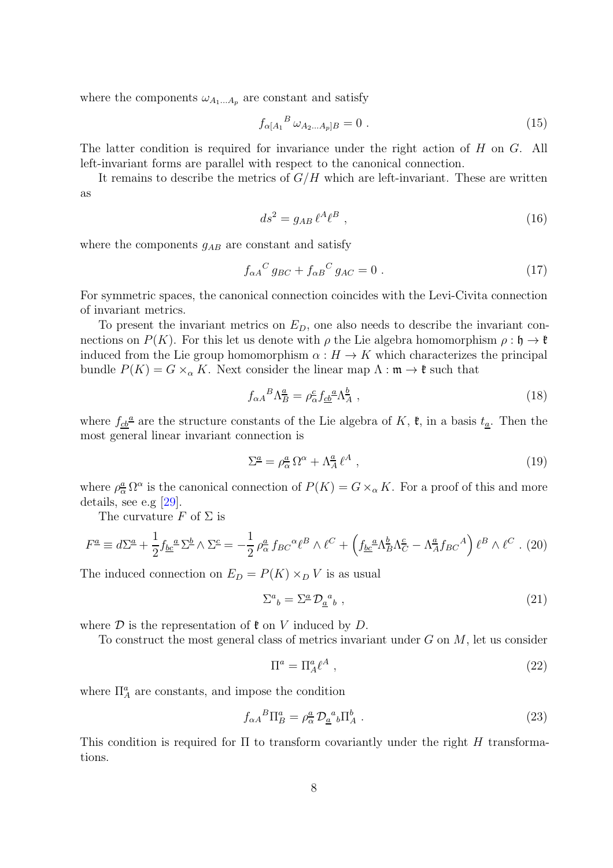where the components  $\omega_{A_1...A_p}$  are constant and satisfy

$$
f_{\alpha[A_1}{}^B \omega_{A_2...A_p]B} = 0.
$$
\n(15)

The latter condition is required for invariance under the right action of H on G. All left-invariant forms are parallel with respect to the canonical connection.

It remains to describe the metrics of  $G/H$  which are left-invariant. These are written as

<span id="page-7-0"></span>
$$
ds^2 = g_{AB} \,\ell^A \ell^B \,,\tag{16}
$$

where the components  $g_{AB}$  are constant and satisfy

$$
f_{\alpha A}{}^C g_{BC} + f_{\alpha B}{}^C g_{AC} = 0.
$$
 (17)

For symmetric spaces, the canonical connection coincides with the Levi-Civita connection of invariant metrics.

To present the invariant metrics on  $E_D$ , one also needs to describe the invariant connections on  $P(K)$ . For this let us denote with  $\rho$  the Lie algebra homomorphism  $\rho : \mathfrak{h} \to \mathfrak{k}$ induced from the Lie group homomorphism  $\alpha : H \to K$  which characterizes the principal bundle  $P(K) = G \times_{\alpha} K$ . Next consider the linear map  $\Lambda : \mathfrak{m} \to \mathfrak{k}$  such that

<span id="page-7-1"></span>
$$
f_{\alpha A}{}^{B}\Lambda_{B}^{\underline{a}} = \rho_{\alpha}^{\underline{c}} f_{\underline{c}\underline{b}}{}^{\underline{a}} \Lambda_{A}^{\underline{b}} \;, \tag{18}
$$

where  $f_{\underline{c}\underline{b}}^{\underline{a}}$  are the structure constants of the Lie algebra of K,  $\mathfrak{k}$ , in a basis  $t_{\underline{a}}$ . Then the most general linear invariant connection is

$$
\Sigma^{\underline{a}} = \rho^{\underline{a}}_{\alpha} \,\Omega^{\alpha} + \Lambda^{\underline{a}}_{A} \,\ell^{A} \;, \tag{19}
$$

where  $\rho_{\alpha}^{\underline{a}} \Omega^{\alpha}$  is the canonical connection of  $P(K) = G \times_{\alpha} K$ . For a proof of this and more details, see e.g [\[29\]](#page-22-9).

The curvature F of  $\Sigma$  is

$$
F^{\underline{a}} \equiv d\Sigma^{\underline{a}} + \frac{1}{2} f_{\underline{b}\underline{c}}{}^{\underline{a}} \Sigma^{\underline{b}} \wedge \Sigma^{\underline{c}} = -\frac{1}{2} \rho^{\underline{a}}_{\alpha} f_{BC}{}^{\alpha} \ell^{B} \wedge \ell^{C} + \left( f_{\underline{b}\underline{c}}{}^{\underline{a}} \Lambda^{\underline{b}}_{B} \Lambda^{\underline{c}}_{C} - \Lambda^{\underline{a}}_{A} f_{BC}{}^{A} \right) \ell^{B} \wedge \ell^{C} . (20)
$$

The induced connection on  $E_D = P(K) \times_D V$  is as usual

$$
\Sigma^a{}_b = \Sigma^{\underline{a}} \mathcal{D}_{\underline{a}}{}^a{}_b \;, \tag{21}
$$

where  $D$  is the representation of  $\mathfrak k$  on V induced by  $D$ .

To construct the most general class of metrics invariant under  $G$  on  $M$ , let us consider

$$
\Pi^a = \Pi_A^a \ell^A \,,\tag{22}
$$

where  $\Pi^a_A$  are constants, and impose the condition

<span id="page-7-2"></span>
$$
f_{\alpha A}{}^{B}\Pi_{B}^{a} = \rho_{\alpha}^{a} \mathcal{D}_{\underline{a}}{}^{a}{}_{b}\Pi_{A}^{b} . \tag{23}
$$

This condition is required for  $\Pi$  to transform covariantly under the right H transformations.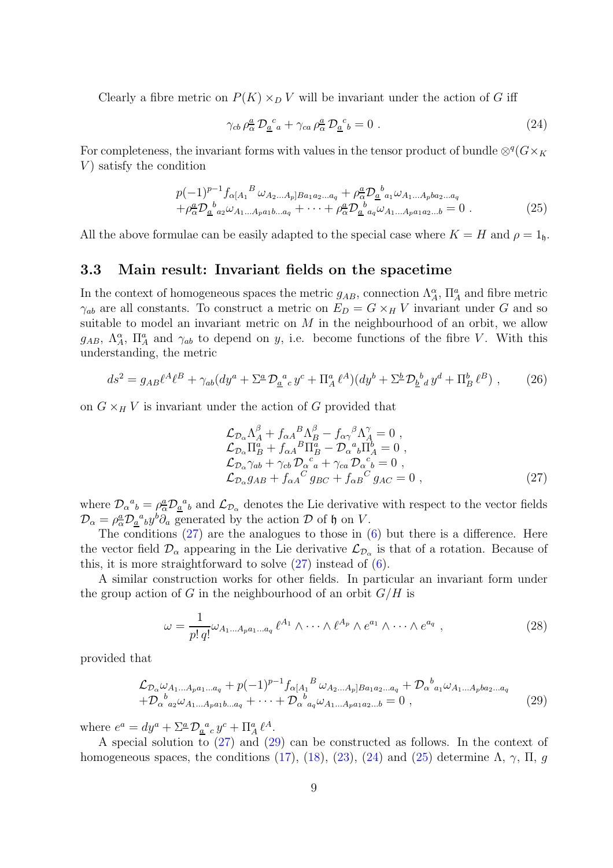Clearly a fibre metric on  $P(K) \times_D V$  will be invariant under the action of G iff

<span id="page-8-4"></span>
$$
\gamma_{cb} \rho_{\alpha}^{a} \mathcal{D}_{\underline{a}}^{c}{}_{a} + \gamma_{ca} \rho_{\alpha}^{a} \mathcal{D}_{\underline{a}}^{c}{}_{b} = 0 . \qquad (24)
$$

For completeness, the invariant forms with values in the tensor product of bundle  $\otimes^q (G\times_K G)$  $V$ ) satisfy the condition

<span id="page-8-5"></span>
$$
p(-1)^{p-1} f_{\alpha[A_1}{}^B \omega_{A_2...A_p]Ba_1a_2...a_q} + \rho_{\alpha}^a \mathcal{D}_{\underline{a}}{}^b{}_{a_1} \omega_{A_1...A_pba_2...a_q}
$$
  
+ $\rho_{\alpha}^a \mathcal{D}_{\underline{a}}{}^b{}_{a_2} \omega_{A_1...A_p a_1b...a_q} + \cdots + \rho_{\alpha}^a \mathcal{D}_{\underline{a}}{}^b{}_{a_q} \omega_{A_1...A_p a_1 a_2...b} = 0.$  (25)

All the above formulae can be easily adapted to the special case where  $K = H$  and  $\rho = 1$ <sub>h</sub>.

#### 3.3 Main result: Invariant fields on the spacetime

In the context of homogeneous spaces the metric  $g_{AB}$ , connection  $\Lambda_A^{\alpha}$ ,  $\Pi_A^a$  and fibre metric  $\gamma_{ab}$  are all constants. To construct a metric on  $E_D = G \times_H V$  invariant under G and so suitable to model an invariant metric on  $M$  in the neighbourhood of an orbit, we allow  $g_{AB}, \ \Lambda_A^{\alpha}, \ \Pi_A^a$  and  $\gamma_{ab}$  to depend on y, i.e. become functions of the fibre V. With this understanding, the metric

<span id="page-8-0"></span>
$$
ds^{2} = g_{AB}\ell^{A}\ell^{B} + \gamma_{ab}(dy^{a} + \Sigma^{a} \mathcal{D}_{\underline{a}}{}^{a}{}_{c}y^{c} + \Pi^{a}_{A}\ell^{A})(dy^{b} + \Sigma^{b} \mathcal{D}_{\underline{b}}{}^{b}{}_{d}y^{d} + \Pi^{b}_{B}\ell^{B}) , \qquad (26)
$$

on  $G \times_H V$  is invariant under the action of G provided that

<span id="page-8-2"></span>
$$
\mathcal{L}_{\mathcal{D}_{\alpha}} \Lambda_A^{\beta} + f_{\alpha A}{}^{B} \Lambda_B^{\beta} - f_{\alpha \gamma}{}^{\beta} \Lambda_A^{\gamma} = 0 ,\n\mathcal{L}_{\mathcal{D}_{\alpha}} \Pi_B^a + f_{\alpha A}{}^{B} \Pi_B^a - \mathcal{D}_{\alpha}{}^a{}_b \Pi_A^b = 0 ,\n\mathcal{L}_{\mathcal{D}_{\alpha}} \gamma_{ab} + \gamma_{cb} \mathcal{D}_{\alpha}{}^c{}_a + \gamma_{ca} \mathcal{D}_{\alpha}{}^c{}_b = 0 ,\n\mathcal{L}_{\mathcal{D}_{\alpha}} g_{AB} + f_{\alpha A}{}^C g_{BC} + f_{\alpha B}{}^C g_{AC} = 0 ,
$$
\n(27)

where  $\mathcal{D}_{\alpha}{}^a{}_b = \rho^a_{\alpha} \mathcal{D}_{\underline{a}}{}^a{}_b$  and  $\mathcal{L}_{\mathcal{D}_{\alpha}}$  denotes the Lie derivative with respect to the vector fields  $\mathcal{D}_{\alpha} = \rho_{\alpha}^a \mathcal{D}_{\alpha}^{\ \ a}{}_{b} y^b \partial_a$  generated by the action  $\mathcal D$  of  $\mathfrak h$  on  $V$ .

The conditions  $(27)$  are the analogues to those in  $(6)$  but there is a difference. Here the vector field  $\mathcal{D}_{\alpha}$  appearing in the Lie derivative  $\mathcal{L}_{\mathcal{D}_{\alpha}}$  is that of a rotation. Because of this, it is more straightforward to solve  $(27)$  instead of  $(6)$ .

A similar construction works for other fields. In particular an invariant form under the group action of G in the neighbourhood of an orbit  $G/H$  is

<span id="page-8-1"></span>
$$
\omega = \frac{1}{p! \, q!} \omega_{A_1 \dots A_p a_1 \dots a_q} \, \ell^{A_1} \wedge \dots \wedge \ell^{A_p} \wedge e^{a_1} \wedge \dots \wedge e^{a_q} \,, \tag{28}
$$

provided that

<span id="page-8-3"></span>
$$
\mathcal{L}_{\mathcal{D}_{\alpha}}\omega_{A_{1}...A_{p}a_{1}...a_{q}} + p(-1)^{p-1} f_{\alpha[A_{1}}{}^{B}\omega_{A_{2}...A_{p}]Ba_{1}a_{2}...a_{q}} + \mathcal{D}_{\alpha}{}^{b}{}_{a_{1}}\omega_{A_{1}...A_{p}ba_{2}...a_{q}} + \mathcal{D}_{\alpha}{}^{b}{}_{a_{2}}\omega_{A_{1}...A_{p}a_{1}b...a_{q}} + \cdots + \mathcal{D}_{\alpha}{}^{b}{}_{a_{q}}\omega_{A_{1}...A_{p}a_{1}a_{2}...b} = 0,
$$
\n(29)

where  $e^a = dy^a + \sum_a^a \mathcal{D}_a^a{}_c y^c + \prod_a^a \ell^A$ .

A special solution to [\(27\)](#page-8-2) and [\(29\)](#page-8-3) can be constructed as follows. In the context of homogeneous spaces, the conditions [\(17\)](#page-7-0), [\(18\)](#page-7-1), [\(23\)](#page-7-2), [\(24\)](#page-8-4) and [\(25\)](#page-8-5) determine  $\Lambda$ ,  $\gamma$ ,  $\Pi$ ,  $g$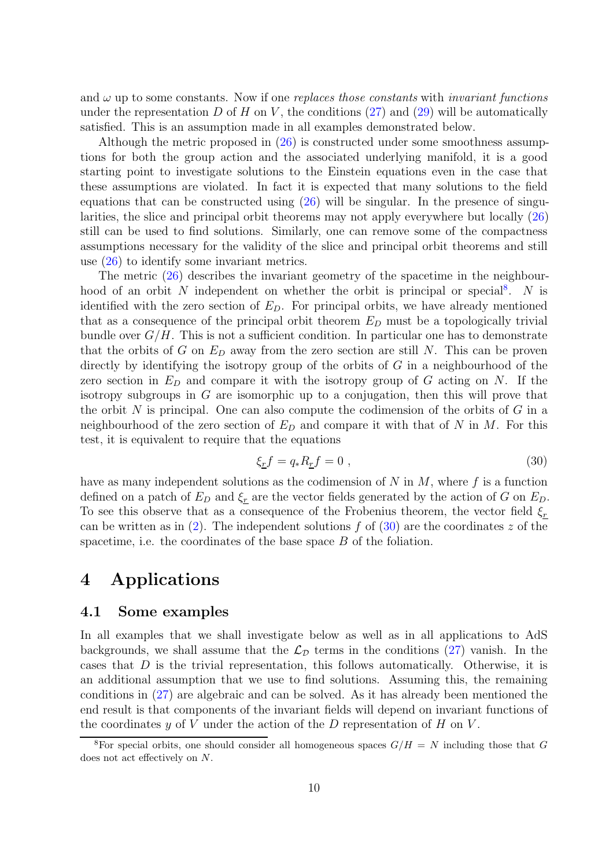and  $\omega$  up to some constants. Now if one *replaces those constants* with *invariant functions* under the representation D of H on V, the conditions  $(27)$  and  $(29)$  will be automatically satisfied. This is an assumption made in all examples demonstrated below.

Although the metric proposed in [\(26\)](#page-8-0) is constructed under some smoothness assumptions for both the group action and the associated underlying manifold, it is a good starting point to investigate solutions to the Einstein equations even in the case that these assumptions are violated. In fact it is expected that many solutions to the field equations that can be constructed using  $(26)$  will be singular. In the presence of singularities, the slice and principal orbit theorems may not apply everywhere but locally [\(26\)](#page-8-0) still can be used to find solutions. Similarly, one can remove some of the compactness assumptions necessary for the validity of the slice and principal orbit theorems and still use [\(26\)](#page-8-0) to identify some invariant metrics.

The metric [\(26\)](#page-8-0) describes the invariant geometry of the spacetime in the neighbour-hood of an orbit N independent on whether the orbit is principal or special<sup>[8](#page-9-0)</sup>. N is identified with the zero section of  $E<sub>D</sub>$ . For principal orbits, we have already mentioned that as a consequence of the principal orbit theorem  $E_D$  must be a topologically trivial bundle over  $G/H$ . This is not a sufficient condition. In particular one has to demonstrate that the orbits of G on  $E_D$  away from the zero section are still N. This can be proven directly by identifying the isotropy group of the orbits of  $G$  in a neighbourhood of the zero section in  $E_D$  and compare it with the isotropy group of G acting on N. If the isotropy subgroups in  $G$  are isomorphic up to a conjugation, then this will prove that the orbit  $N$  is principal. One can also compute the codimension of the orbits of  $G$  in a neighbourhood of the zero section of  $E_D$  and compare it with that of N in M. For this test, it is equivalent to require that the equations

<span id="page-9-1"></span>
$$
\xi_{\underline{r}}f = q_* R_{\underline{r}}f = 0 \tag{30}
$$

have as many independent solutions as the codimension of  $N$  in  $M$ , where  $f$  is a function defined on a patch of  $E_D$  and  $\xi_r$  are the vector fields generated by the action of G on  $E_D$ . To see this observe that as a consequence of the Frobenius theorem, the vector field  $\xi_r$ can be written as in [\(2\)](#page-3-1). The independent solutions f of [\(30\)](#page-9-1) are the coordinates z of the spacetime, i.e. the coordinates of the base space  $B$  of the foliation.

## 4 Applications

#### 4.1 Some examples

In all examples that we shall investigate below as well as in all applications to AdS backgrounds, we shall assume that the  $\mathcal{L}_{\mathcal{D}}$  terms in the conditions [\(27\)](#page-8-2) vanish. In the cases that D is the trivial representation, this follows automatically. Otherwise, it is an additional assumption that we use to find solutions. Assuming this, the remaining conditions in [\(27\)](#page-8-2) are algebraic and can be solved. As it has already been mentioned the end result is that components of the invariant fields will depend on invariant functions of the coordinates  $y$  of  $V$  under the action of the  $D$  representation of  $H$  on  $V$ .

<span id="page-9-0"></span><sup>&</sup>lt;sup>8</sup>For special orbits, one should consider all homogeneous spaces  $G/H = N$  including those that G does not act effectively on N.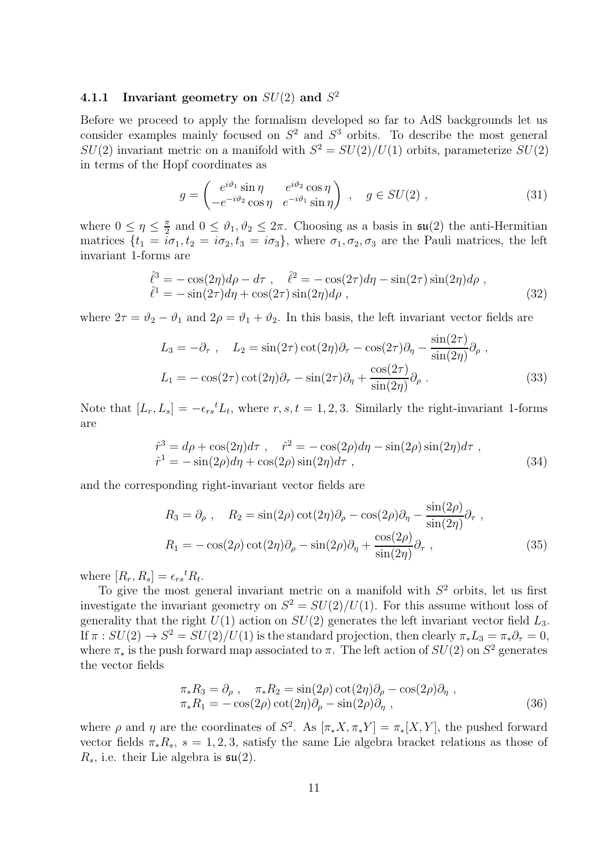## 4.1.1 Invariant geometry on  $SU(2)$  and  $S^2$

Before we proceed to apply the formalism developed so far to AdS backgrounds let us consider examples mainly focused on  $S^2$  and  $S^3$  orbits. To describe the most general  $SU(2)$  invariant metric on a manifold with  $S^2 = SU(2)/U(1)$  orbits, parameterize  $SU(2)$ in terms of the Hopf coordinates as

$$
g = \begin{pmatrix} e^{i\vartheta_1} \sin \eta & e^{i\vartheta_2} \cos \eta \\ -e^{-i\vartheta_2} \cos \eta & e^{-i\vartheta_1} \sin \eta \end{pmatrix} , \quad g \in SU(2) ,
$$
 (31)

where  $0 \leq \eta \leq \frac{\pi}{2}$  $\frac{\pi}{2}$  and  $0 \le \vartheta_1, \vartheta_2 \le 2\pi$ . Choosing as a basis in  $\mathfrak{su}(2)$  the anti-Hermitian matrices  $\{t_1 = \tilde{i}\sigma_1, t_2 = i\sigma_2, t_3 = i\sigma_3\}$ , where  $\sigma_1, \sigma_2, \sigma_3$  are the Pauli matrices, the left invariant 1-forms are

<span id="page-10-0"></span>
$$
\hat{\ell}^3 = -\cos(2\eta)d\rho - d\tau , \quad \hat{\ell}^2 = -\cos(2\tau)d\eta - \sin(2\tau)\sin(2\eta)d\rho ,\n\hat{\ell}^1 = -\sin(2\tau)d\eta + \cos(2\tau)\sin(2\eta)d\rho ,
$$
\n(32)

where  $2\tau = \vartheta_2 - \vartheta_1$  and  $2\rho = \vartheta_1 + \vartheta_2$ . In this basis, the left invariant vector fields are

<span id="page-10-2"></span>
$$
L_3 = -\partial_\tau , \quad L_2 = \sin(2\tau) \cot(2\eta) \partial_\tau - \cos(2\tau) \partial_\eta - \frac{\sin(2\tau)}{\sin(2\eta)} \partial_\rho ,
$$
  

$$
L_1 = -\cos(2\tau) \cot(2\eta) \partial_\tau - \sin(2\tau) \partial_\eta + \frac{\cos(2\tau)}{\sin(2\eta)} \partial_\rho .
$$
 (33)

Note that  $[L_r, L_s] = -\epsilon_{rs}{}^t L_t$ , where  $r, s, t = 1, 2, 3$ . Similarly the right-invariant 1-forms are

$$
\hat{r}^3 = d\rho + \cos(2\eta)d\tau , \quad \hat{r}^2 = -\cos(2\rho)d\eta - \sin(2\rho)\sin(2\eta)d\tau ,
$$
  

$$
\hat{r}^1 = -\sin(2\rho)d\eta + \cos(2\rho)\sin(2\eta)d\tau ,
$$
 (34)

and the corresponding right-invariant vector fields are

<span id="page-10-1"></span>
$$
R_3 = \partial_{\rho} , \quad R_2 = \sin(2\rho) \cot(2\eta) \partial_{\rho} - \cos(2\rho) \partial_{\eta} - \frac{\sin(2\rho)}{\sin(2\eta)} \partial_{\tau} ,
$$
  

$$
R_1 = -\cos(2\rho) \cot(2\eta) \partial_{\rho} - \sin(2\rho) \partial_{\eta} + \frac{\cos(2\rho)}{\sin(2\eta)} \partial_{\tau} ,
$$
 (35)

where  $[R_r, R_s] = \epsilon_{rs}{}^t R_t$ .

To give the most general invariant metric on a manifold with  $S<sup>2</sup>$  orbits, let us first investigate the invariant geometry on  $S^2 = SU(2)/U(1)$ . For this assume without loss of generality that the right  $U(1)$  action on  $SU(2)$  generates the left invariant vector field  $L_3$ . If  $\pi : SU(2) \to S^2 = SU(2)/U(1)$  is the standard projection, then clearly  $\pi_* L_3 = \pi_* \partial_\tau = 0$ , where  $\pi_*$  is the push forward map associated to  $\pi$ . The left action of  $SU(2)$  on  $S^2$  generates the vector fields

$$
\pi_* R_3 = \partial_\rho , \quad \pi_* R_2 = \sin(2\rho) \cot(2\eta) \partial_\rho - \cos(2\rho) \partial_\eta ,\n\pi_* R_1 = -\cos(2\rho) \cot(2\eta) \partial_\rho - \sin(2\rho) \partial_\eta ,
$$
\n(36)

where  $\rho$  and  $\eta$  are the coordinates of  $S^2$ . As  $[\pi_* X, \pi_* Y] = \pi_* [X, Y]$ , the pushed forward vector fields  $\pi_* R_s$ ,  $s = 1, 2, 3$ , satisfy the same Lie algebra bracket relations as those of  $R_s$ , i.e. their Lie algebra is  $\mathfrak{su}(2)$ .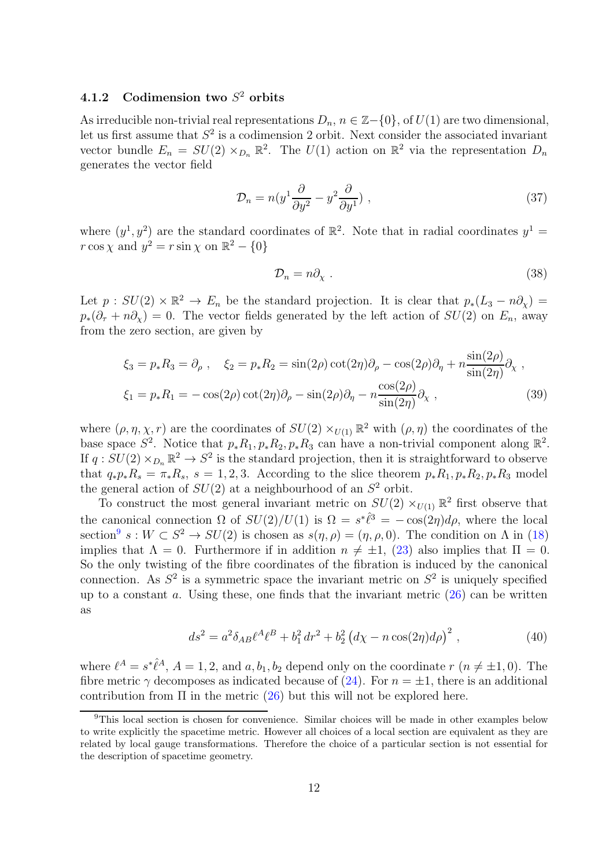## <span id="page-11-2"></span>4.1.2 Codimension two  $S^2$  orbits

As irreducible non-trivial real representations  $D_n$ ,  $n \in \mathbb{Z}-\{0\}$ , of  $U(1)$  are two dimensional, let us first assume that  $S^2$  is a codimension 2 orbit. Next consider the associated invariant vector bundle  $E_n = SU(2) \times_{D_n} \mathbb{R}^2$ . The  $U(1)$  action on  $\mathbb{R}^2$  via the representation  $D_n$ generates the vector field

$$
\mathcal{D}_n = n(y^1 \frac{\partial}{\partial y^2} - y^2 \frac{\partial}{\partial y^1}), \qquad (37)
$$

where  $(y^1, y^2)$  are the standard coordinates of  $\mathbb{R}^2$ . Note that in radial coordinates  $y^1 =$  $r \cos \chi$  and  $y^2 = r \sin \chi$  on  $\mathbb{R}^2 - \{0\}$ 

$$
\mathcal{D}_n = n\partial_\chi \ . \tag{38}
$$

Let  $p: SU(2) \times \mathbb{R}^2 \to E_n$  be the standard projection. It is clear that  $p_*(L_3 - n\partial_\chi) =$  $p_*(\partial_\tau + n\partial_\chi) = 0$ . The vector fields generated by the left action of  $SU(2)$  on  $E_n$ , away from the zero section, are given by

$$
\xi_3 = p_* R_3 = \partial_\rho , \quad \xi_2 = p_* R_2 = \sin(2\rho) \cot(2\eta) \partial_\rho - \cos(2\rho) \partial_\eta + n \frac{\sin(2\rho)}{\sin(2\eta)} \partial_\chi ,
$$
  

$$
\xi_1 = p_* R_1 = -\cos(2\rho) \cot(2\eta) \partial_\rho - \sin(2\rho) \partial_\eta - n \frac{\cos(2\rho)}{\sin(2\eta)} \partial_\chi ,
$$
 (39)

where  $(\rho, \eta, \chi, r)$  are the coordinates of  $SU(2) \times_{U(1)} \mathbb{R}^2$  with  $(\rho, \eta)$  the coordinates of the base space  $S^2$ . Notice that  $p_* R_1, p_* R_2, p_* R_3$  can have a non-trivial component along  $\mathbb{R}^2$ . If  $q: SU(2) \times_{D_n} \mathbb{R}^2 \to S^2$  is the standard projection, then it is straightforward to observe that  $q_*p_*R_s = \pi_*R_s$ ,  $s = 1, 2, 3$ . According to the slice theorem  $p_*R_1, p_*R_2, p_*R_3$  model the general action of  $SU(2)$  at a neighbourhood of an  $S^2$  orbit.

To construct the most general invariant metric on  $SU(2) \times_{U(1)} \mathbb{R}^2$  first observe that the canonical connection  $\Omega$  of  $SU(2)/U(1)$  is  $\Omega = s^*\hat{\ell}^3 = -\cos(2\eta)d\rho$ , where the local section<sup>[9](#page-11-0)</sup>  $s: W \subset S^2 \to SU(2)$  is chosen as  $s(\eta, \rho) = (\eta, \rho, 0)$ . The condition on  $\Lambda$  in [\(18\)](#page-7-1) implies that  $\Lambda = 0$ . Furthermore if in addition  $n \neq \pm 1$ , [\(23\)](#page-7-2) also implies that  $\Pi = 0$ . So the only twisting of the fibre coordinates of the fibration is induced by the canonical connection. As  $S^2$  is a symmetric space the invariant metric on  $S^2$  is uniquely specified up to a constant  $\alpha$ . Using these, one finds that the invariant metric  $(26)$  can be written as

<span id="page-11-1"></span>
$$
ds^{2} = a^{2} \delta_{AB} \ell^{A} \ell^{B} + b_{1}^{2} dr^{2} + b_{2}^{2} (d\chi - n \cos(2\eta) d\rho)^{2} , \qquad (40)
$$

where  $\ell^A = s^*\hat{\ell}^A$ ,  $A = 1, 2$ , and  $a, b_1, b_2$  depend only on the coordinate  $r(n \neq \pm 1, 0)$ . The fibre metric  $\gamma$  decomposes as indicated because of [\(24\)](#page-8-4). For  $n = \pm 1$ , there is an additional contribution from  $\Pi$  in the metric [\(26\)](#page-8-0) but this will not be explored here.

<span id="page-11-0"></span><sup>&</sup>lt;sup>9</sup>This local section is chosen for convenience. Similar choices will be made in other examples below to write explicitly the spacetime metric. However all choices of a local section are equivalent as they are related by local gauge transformations. Therefore the choice of a particular section is not essential for the description of spacetime geometry.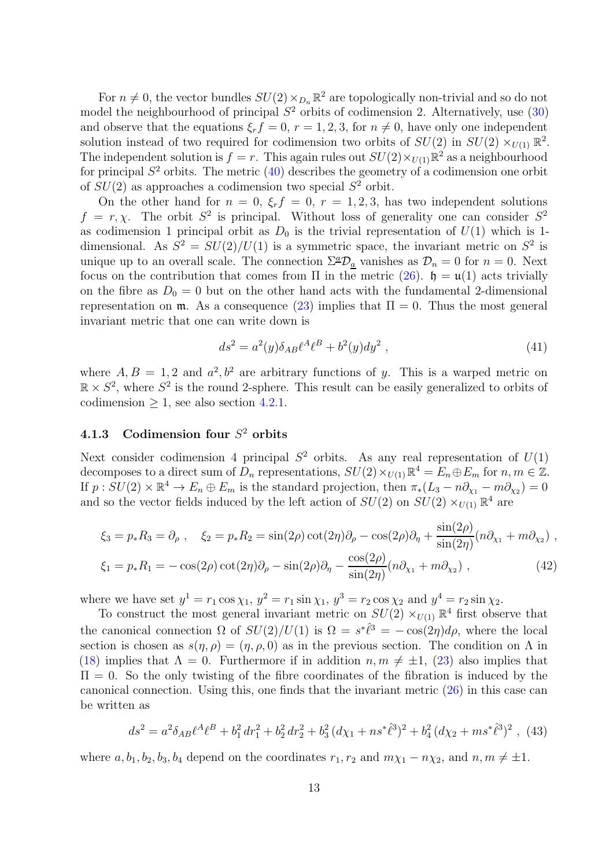For  $n \neq 0$ , the vector bundles  $SU(2) \times_{D_n} \mathbb{R}^2$  are topologically non-trivial and so do not model the neighbourhood of principal  $S^2$  orbits of codimension 2. Alternatively, use  $(30)$ and observe that the equations  $\xi_r f = 0, r = 1, 2, 3$ , for  $n \neq 0$ , have only one independent solution instead of two required for codimension two orbits of  $SU(2)$  in  $SU(2) \times_{U(1)} \mathbb{R}^2$ . The independent solution is  $f = r$ . This again rules out  $SU(2) \times_{U(1)} \mathbb{R}^2$  as a neighbourhood for principal  $S^2$  orbits. The metric  $(40)$  describes the geometry of a codimension one orbit of  $SU(2)$  as approaches a codimension two special  $S^2$  orbit.

On the other hand for  $n = 0$ ,  $\xi_r f = 0$ ,  $r = 1, 2, 3$ , has two independent solutions  $f = r, \chi$ . The orbit  $S^2$  is principal. Without loss of generality one can consider  $S^2$ as codimension 1 principal orbit as  $D_0$  is the trivial representation of  $U(1)$  which is 1dimensional. As  $S^2 = SU(2)/U(1)$  is a symmetric space, the invariant metric on  $S^2$  is unique up to an overall scale. The connection  $\Sigma^{\underline{a}}\mathcal{D}_a$  vanishes as  $\mathcal{D}_n = 0$  for  $n = 0$ . Next focus on the contribution that comes from  $\Pi$  in the metric [\(26\)](#page-8-0).  $\mathfrak{h} = \mathfrak{u}(1)$  acts trivially on the fibre as  $D_0 = 0$  but on the other hand acts with the fundamental 2-dimensional representation on  $\mathfrak{m}$ . As a consequence [\(23\)](#page-7-2) implies that  $\Pi = 0$ . Thus the most general invariant metric that one can write down is

<span id="page-12-1"></span>
$$
ds^{2} = a^{2}(y)\delta_{AB}\ell^{A}\ell^{B} + b^{2}(y)dy^{2} , \qquad (41)
$$

where  $A, B = 1, 2$  and  $a^2, b^2$  are arbitrary functions of y. This is a warped metric on  $\mathbb{R} \times S^2$ , where  $S^2$  is the round 2-sphere. This result can be easily generalized to orbits of codimension  $\geq 1$ , see also section [4.2.1.](#page-17-0)

## 4.1.3 Codimension four  $S^2$  orbits

Next consider codimension 4 principal  $S^2$  orbits. As any real representation of  $U(1)$ decomposes to a direct sum of  $D_n$  representations,  $SU(2) \times_{U(1)} \mathbb{R}^4 = E_n \oplus E_m$  for  $n, m \in \mathbb{Z}$ . If  $p: SU(2) \times \mathbb{R}^4 \to E_n \oplus E_m$  is the standard projection, then  $\pi_*(L_3 - n\partial_{\chi_1} - m\partial_{\chi_2}) = 0$ and so the vector fields induced by the left action of  $SU(2)$  on  $SU(2) \times_{U(1)} \mathbb{R}^4$  are

$$
\xi_3 = p_* R_3 = \partial_\rho \ , \quad \xi_2 = p_* R_2 = \sin(2\rho) \cot(2\eta) \partial_\rho - \cos(2\rho) \partial_\eta + \frac{\sin(2\rho)}{\sin(2\eta)} (n \partial_{\chi_1} + m \partial_{\chi_2}) \ ,
$$
  

$$
\xi_1 = p_* R_1 = -\cos(2\rho) \cot(2\eta) \partial_\rho - \sin(2\rho) \partial_\eta - \frac{\cos(2\rho)}{\sin(2\eta)} (n \partial_{\chi_1} + m \partial_{\chi_2}) \ , \tag{42}
$$

where we have set  $y^1 = r_1 \cos \chi_1$ ,  $y^2 = r_1 \sin \chi_1$ ,  $y^3 = r_2 \cos \chi_2$  and  $y^4 = r_2 \sin \chi_2$ .

To construct the most general invariant metric on  $SU(2) \times_{U(1)} \mathbb{R}^4$  first observe that the canonical connection  $\Omega$  of  $SU(2)/U(1)$  is  $\Omega = s^*\hat{\ell}^3 = -\cos(2\eta)d\rho$ , where the local section is chosen as  $s(\eta, \rho) = (\eta, \rho, 0)$  as in the previous section. The condition on  $\Lambda$  in [\(18\)](#page-7-1) implies that  $\Lambda = 0$ . Furthermore if in addition  $n, m \neq \pm 1$ , [\(23\)](#page-7-2) also implies that  $\Pi = 0$ . So the only twisting of the fibre coordinates of the fibration is induced by the canonical connection. Using this, one finds that the invariant metric [\(26\)](#page-8-0) in this case can be written as

<span id="page-12-0"></span>
$$
ds^2 = a^2 \delta_{AB} \ell^A \ell^B + b_1^2 dr_1^2 + b_2^2 dr_2^2 + b_3^2 (d\chi_1 + n s^* \hat{\ell}^3)^2 + b_4^2 (d\chi_2 + m s^* \hat{\ell}^3)^2 , \tag{43}
$$

where  $a, b_1, b_2, b_3, b_4$  depend on the coordinates  $r_1, r_2$  and  $m\chi_1 - n\chi_2$ , and  $n, m \neq \pm 1$ .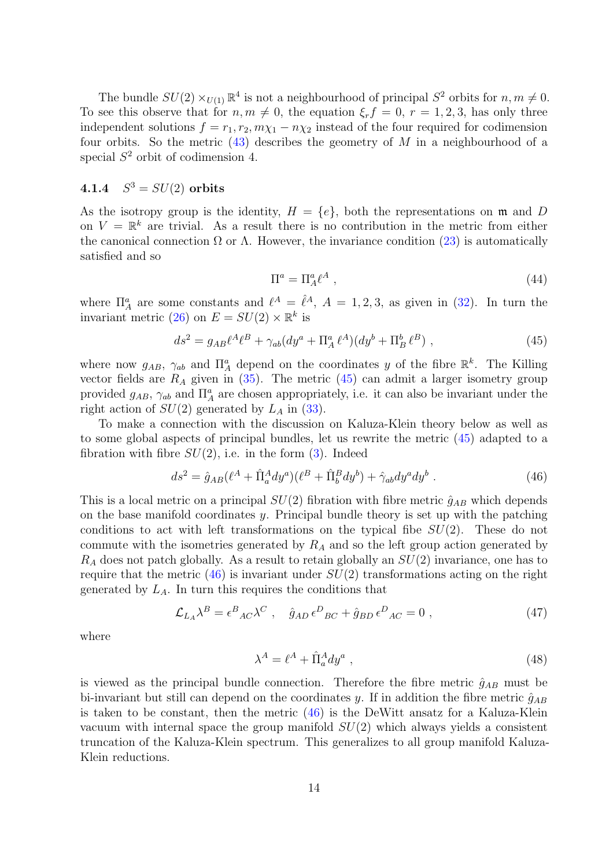The bundle  $SU(2) \times_{U(1)} \mathbb{R}^4$  is not a neighbourhood of principal  $S^2$  orbits for  $n, m \neq 0$ . To see this observe that for  $n, m \neq 0$ , the equation  $\xi_r f = 0$ ,  $r = 1, 2, 3$ , has only three independent solutions  $f = r_1, r_2, m\chi_1 - n\chi_2$  instead of the four required for codimension four orbits. So the metric  $(43)$  describes the geometry of M in a neighbourhood of a special  $S^2$  orbit of codimension 4.

#### <span id="page-13-2"></span> $4.1.4$  $S^3 = SU(2)$  orbits

As the isotropy group is the identity,  $H = \{e\}$ , both the representations on m and D on  $V = \mathbb{R}^k$  are trivial. As a result there is no contribution in the metric from either the canonical connection  $\Omega$  or  $\Lambda$ . However, the invariance condition [\(23\)](#page-7-2) is automatically satisfied and so

$$
\Pi^a = \Pi_A^a \ell^A \tag{44}
$$

where  $\Pi_A^a$  are some constants and  $\ell^A = \ell^A$ ,  $A = 1, 2, 3$ , as given in [\(32\)](#page-10-0). In turn the invariant metric [\(26\)](#page-8-0) on  $E = SU(2) \times \mathbb{R}^k$  is

<span id="page-13-0"></span>
$$
ds^{2} = g_{AB}\ell^{A}\ell^{B} + \gamma_{ab}(dy^{a} + \Pi_{A}^{a}\ell^{A})(dy^{b} + \Pi_{B}^{b}\ell^{B}), \qquad (45)
$$

where now  $g_{AB}$ ,  $\gamma_{ab}$  and  $\prod_{A}^{a}$  depend on the coordinates y of the fibre  $\mathbb{R}^{k}$ . The Killing vector fields are  $R_A$  given in [\(35\)](#page-10-1). The metric [\(45\)](#page-13-0) can admit a larger isometry group provided  $g_{AB}$ ,  $\gamma_{ab}$  and  $\prod_A^a$  are chosen appropriately, i.e. it can also be invariant under the right action of  $SU(2)$  generated by  $L_A$  in [\(33\)](#page-10-2).

To make a connection with the discussion on Kaluza-Klein theory below as well as to some global aspects of principal bundles, let us rewrite the metric [\(45\)](#page-13-0) adapted to a fibration with fibre  $SU(2)$ , i.e. in the form  $(3)$ . Indeed

<span id="page-13-1"></span>
$$
ds^{2} = \hat{g}_{AB}(\ell^{A} + \hat{\Pi}_{a}^{A}dy^{a})(\ell^{B} + \hat{\Pi}_{b}^{B}dy^{b}) + \hat{\gamma}_{ab}dy^{a}dy^{b}.
$$
 (46)

This is a local metric on a principal  $SU(2)$  fibration with fibre metric  $\hat{g}_{AB}$  which depends on the base manifold coordinates y. Principal bundle theory is set up with the patching conditions to act with left transformations on the typical fibe  $SU(2)$ . These do not commute with the isometries generated by  $R_A$  and so the left group action generated by  $R_A$  does not patch globally. As a result to retain globally an  $SU(2)$  invariance, one has to require that the metric  $(46)$  is invariant under  $SU(2)$  transformations acting on the right generated by  $L_A$ . In turn this requires the conditions that

$$
\mathcal{L}_{L_A}\lambda^B = \epsilon^B{}_{AC}\lambda^C \ , \quad \hat{g}_{AD}\,\epsilon^D{}_{BC} + \hat{g}_{BD}\,\epsilon^D{}_{AC} = 0 \ , \tag{47}
$$

where

$$
\lambda^A = \ell^A + \hat{\Pi}_a^A dy^a \;, \tag{48}
$$

is viewed as the principal bundle connection. Therefore the fibre metric  $\hat{g}_{AB}$  must be bi-invariant but still can depend on the coordinates y. If in addition the fibre metric  $\hat{g}_{AB}$ is taken to be constant, then the metric  $(46)$  is the DeWitt ansatz for a Kaluza-Klein vacuum with internal space the group manifold  $SU(2)$  which always yields a consistent truncation of the Kaluza-Klein spectrum. This generalizes to all group manifold Kaluza-Klein reductions.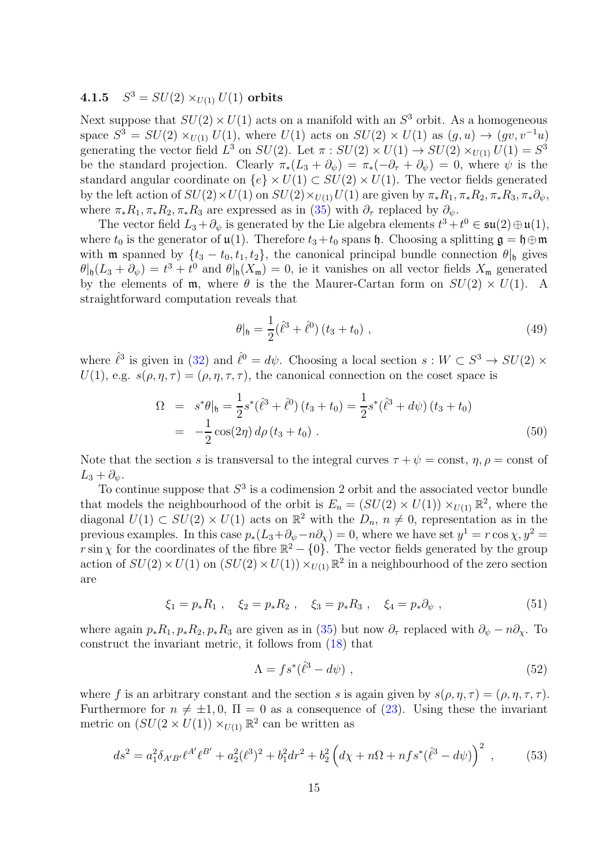#### <span id="page-14-1"></span> $4.1.5$  $S^3 = SU(2) \times_{U(1)} U(1)$  orbits

Next suppose that  $SU(2) \times U(1)$  acts on a manifold with an  $S^3$  orbit. As a homogeneous space  $S^3 = SU(2) \times_{U(1)} U(1)$ , where  $U(1)$  acts on  $SU(2) \times U(1)$  as  $(g, u) \to (gv, v^{-1}u)$ generating the vector field  $L^3$  on  $SU(2)$ . Let  $\pi : SU(2) \times U(1) \to SU(2) \times_{U(1)} U(1) = S^3$ be the standard projection. Clearly  $\pi_*(L_3 + \partial_\psi) = \pi_*(-\partial_\tau + \partial_\psi) = 0$ , where  $\psi$  is the standard angular coordinate on  $\{e\} \times U(1) \subset SU(2) \times U(1)$ . The vector fields generated by the left action of  $SU(2)\times U(1)$  on  $SU(2)\times_{U(1)} U(1)$  are given by  $\pi_* R_1, \pi_* R_2, \pi_* R_3, \pi_* \partial_{\psi}$ , where  $\pi_* R_1, \pi_* R_2, \pi_* R_3$  are expressed as in [\(35\)](#page-10-1) with  $\partial_{\tau}$  replaced by  $\partial_{\psi}$ .

The vector field  $L_3 + \partial_{\psi}$  is generated by the Lie algebra elements  $t^3 + t^0 \in \mathfrak{su}(2) \oplus \mathfrak{u}(1)$ , where  $t_0$  is the generator of  $\mathfrak{u}(1)$ . Therefore  $t_3+t_0$  spans  $\mathfrak{h}$ . Choosing a splitting  $\mathfrak{g} = \mathfrak{h} \oplus \mathfrak{m}$ with **m** spanned by  $\{t_3 - t_0, t_1, t_2\}$ , the canonical principal bundle connection  $\theta|_{\mathfrak{h}}$  gives  $\theta|_{\mathfrak{h}}(L_3 + \partial_{\psi}) = t^3 + t^0$  and  $\theta|_{\mathfrak{h}}(X_{\mathfrak{m}}) = 0$ , ie it vanishes on all vector fields  $X_{\mathfrak{m}}$  generated by the elements of  $\mathfrak{m}$ , where  $\theta$  is the the Maurer-Cartan form on  $SU(2) \times U(1)$ . A straightforward computation reveals that

$$
\theta|_{\mathfrak{h}} = \frac{1}{2} (\hat{\ell}^3 + \hat{\ell}^0) (t_3 + t_0) , \qquad (49)
$$

where  $\hat{\ell}^3$  is given in [\(32\)](#page-10-0) and  $\hat{\ell}^0 = d\psi$ . Choosing a local section  $s : W \subset S^3 \to SU(2) \times$  $U(1)$ , e.g.  $s(\rho, \eta, \tau) = (\rho, \eta, \tau, \tau)$ , the canonical connection on the coset space is

$$
\Omega = s^* \theta|_{\mathfrak{h}} = \frac{1}{2} s^* (\hat{\ell}^3 + \hat{\ell}^0) (t_3 + t_0) = \frac{1}{2} s^* (\hat{\ell}^3 + d\psi) (t_3 + t_0)
$$
  
=  $-\frac{1}{2} \cos(2\eta) d\rho (t_3 + t_0)$ . (50)

Note that the section s is transversal to the integral curves  $\tau + \psi = \text{const}$ ,  $\eta$ ,  $\rho = \text{const}$  of  $L_3 + \partial_{\psi}$ .

To continue suppose that  $S<sup>3</sup>$  is a codimension 2 orbit and the associated vector bundle that models the neighbourhood of the orbit is  $E_n = (SU(2) \times U(1)) \times_{U(1)} \mathbb{R}^2$ , where the diagonal  $U(1) \subset SU(2) \times U(1)$  acts on  $\mathbb{R}^2$  with the  $D_n$ ,  $n \neq 0$ , representation as in the previous examples. In this case  $p_*(L_3 + \partial_\psi - n\partial_\chi) = 0$ , where we have set  $y^1 = r \cos \chi$ ,  $y^2 =$ r sin  $\chi$  for the coordinates of the fibre  $\mathbb{R}^2 - \{0\}$ . The vector fields generated by the group action of  $SU(2) \times U(1)$  on  $(SU(2) \times U(1)) \times_{U(1)} \mathbb{R}^2$  in a neighbourhood of the zero section are

$$
\xi_1 = p_* R_1 \ , \quad \xi_2 = p_* R_2 \ , \quad \xi_3 = p_* R_3 \ , \quad \xi_4 = p_* \partial_\psi \ , \tag{51}
$$

where again  $p_*R_1$ ,  $p_*R_2$ ,  $p_*R_3$  are given as in [\(35\)](#page-10-1) but now  $\partial_{\tau}$  replaced with  $\partial_{\psi} - n\partial_{\chi}$ . To construct the invariant metric, it follows from [\(18\)](#page-7-1) that

$$
\Lambda = fs^*(\hat{\ell}^3 - d\psi) \tag{52}
$$

where f is an arbitrary constant and the section s is again given by  $s(\rho, \eta, \tau) = (\rho, \eta, \tau, \tau)$ . Furthermore for  $n \neq \pm 1, 0$ ,  $\Pi = 0$  as a consequence of [\(23\)](#page-7-2). Using these the invariant metric on  $(SU(2 \times U(1)) \times_{U(1)} \mathbb{R}^2$  can be written as

<span id="page-14-0"></span>
$$
ds^{2} = a_{1}^{2} \delta_{A'B'} \ell^{A'} \ell^{B'} + a_{2}^{2} (\ell^{3})^{2} + b_{1}^{2} dr^{2} + b_{2}^{2} \left( d\chi + n\Omega + nfs^{*}(\hat{\ell}^{3} - d\psi) \right)^{2} , \qquad (53)
$$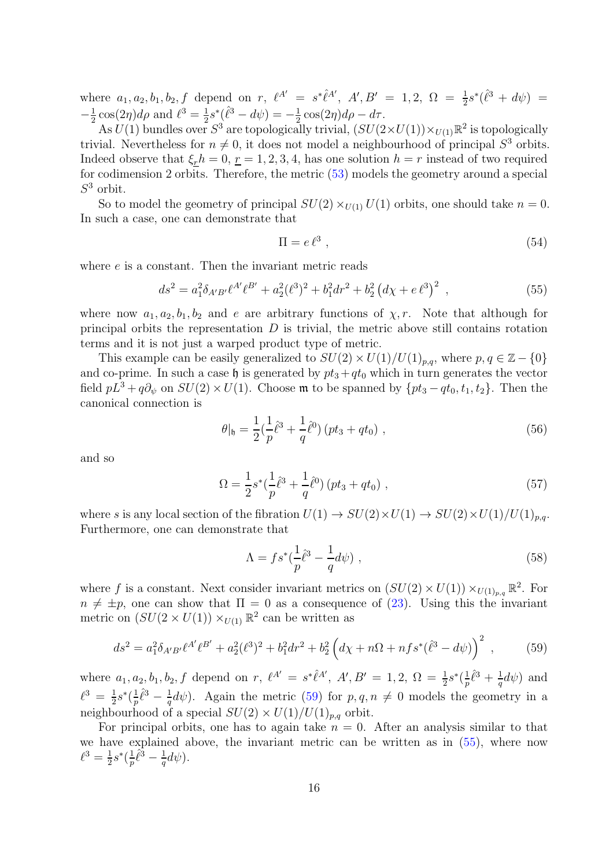where  $a_1, a_2, b_1, b_2, f$  depend on r,  $\ell^{A'} = s^*\hat{\ell}^{A'}, A', B' = 1, 2, \Omega = \frac{1}{2}s^*(\hat{\ell}^3 + d\psi) =$  $-\frac{1}{2}$  $\frac{1}{2}\cos(2\eta)d\rho$  and  $\ell^3 = \frac{1}{2}$  $\frac{1}{2} s^* (\hat{\ell}^3 - d\psi) = -\frac{1}{2}$  $\frac{1}{2}\cos(2\eta)d\rho - d\tau.$ 

As  $U(1)$  bundles over  $S^3$  are topologically trivial,  $(SU(2\times U(1))\times_{U(1)} \mathbb{R}^2$  is topologically trivial. Nevertheless for  $n \neq 0$ , it does not model a neighbourhood of principal  $S<sup>3</sup>$  orbits. Indeed observe that  $\xi_r h = 0, \underline{r} = 1, 2, 3, 4$ , has one solution  $h = r$  instead of two required for codimension 2 orbits. Therefore, the metric [\(53\)](#page-14-0) models the geometry around a special  $S^3$  orbit.

So to model the geometry of principal  $SU(2) \times_{U(1)} U(1)$  orbits, one should take  $n = 0$ . In such a case, one can demonstrate that

$$
\Pi = e \, \ell^3 \tag{54}
$$

where  $e$  is a constant. Then the invariant metric reads

<span id="page-15-1"></span>
$$
ds^{2} = a_{1}^{2} \delta_{A'B'} \ell^{A'} \ell^{B'} + a_{2}^{2} (\ell^{3})^{2} + b_{1}^{2} dr^{2} + b_{2}^{2} (d\chi + e \ell^{3})^{2} , \qquad (55)
$$

where now  $a_1, a_2, b_1, b_2$  and e are arbitrary functions of  $\chi, r$ . Note that although for principal orbits the representation  $D$  is trivial, the metric above still contains rotation terms and it is not just a warped product type of metric.

This example can be easily generalized to  $SU(2) \times U(1)/U(1)_{p,q}$ , where  $p, q \in \mathbb{Z} - \{0\}$ and co-prime. In such a case  $\mathfrak h$  is generated by  $pt_3 + qt_0$  which in turn generates the vector field  $pL^3 + q\partial_\psi$  on  $SU(2) \times U(1)$ . Choose m to be spanned by  $\{pt_3 - qt_0, t_1, t_2\}$ . Then the canonical connection is

$$
\theta|_{\mathfrak{h}} = \frac{1}{2} \left( \frac{1}{p} \hat{\ell}^3 + \frac{1}{q} \hat{\ell}^0 \right) \left( pt_3 + qt_0 \right) , \qquad (56)
$$

and so

$$
\Omega = \frac{1}{2}s^*(\frac{1}{p}\hat{\ell}^3 + \frac{1}{q}\hat{\ell}^0)(pt_3 + qt_0) ,
$$
\n(57)

where s is any local section of the fibration  $U(1) \rightarrow SU(2) \times U(1) \rightarrow SU(2) \times U(1)/U(1)_{p,q}$ . Furthermore, one can demonstrate that

$$
\Lambda = fs^*(\frac{1}{p}\hat{\ell}^3 - \frac{1}{q}d\psi) ,\qquad(58)
$$

where f is a constant. Next consider invariant metrics on  $(SU(2) \times U(1)) \times_{U(1)_{p,q}} \mathbb{R}^2$ . For  $n \neq \pm p$ , one can show that  $\Pi = 0$  as a consequence of [\(23\)](#page-7-2). Using this the invariant metric on  $(SU(2 \times U(1)) \times_{U(1)} \mathbb{R}^2$  can be written as

<span id="page-15-0"></span>
$$
ds^{2} = a_{1}^{2} \delta_{A'B'} \ell^{A'} \ell^{B'} + a_{2}^{2} (\ell^{3})^{2} + b_{1}^{2} dr^{2} + b_{2}^{2} \left( d\chi + n\Omega + nfs^{*} (\hat{\ell}^{3} - d\psi) \right)^{2} , \qquad (59)
$$

where  $a_1, a_2, b_1, b_2, f$  depend on  $r, \ell^{A'} = s^* \ell^{A'}, A', B' = 1, 2, \Omega = \frac{1}{2} s^* (\frac{1}{p})$  $\frac{1}{p}\hat{\ell}^3 + \frac{1}{q}$  $\frac{1}{q}d\psi$  and  $\ell^3 = \frac{1}{2}$  $\frac{1}{2} s^* (\frac{1}{p})$  $\frac{1}{p}\hat{\ell}^3-\frac{1}{q}$  $\frac{1}{q}d\psi$ ). Again the metric [\(59\)](#page-15-0) for  $p, q, n \neq 0$  models the geometry in a neighbourhood of a special  $SU(2) \times U(1)/U(1)_{p,q}$  orbit.

For principal orbits, one has to again take  $n = 0$ . After an analysis similar to that we have explained above, the invariant metric can be written as in [\(55\)](#page-15-1), where now  $\ell^3=\frac{1}{2}$  $\frac{1}{2} s^* (\frac{1}{p}$  $\frac{1}{p}\hat{\ell}^{\bar{3}}-\frac{1}{q}$  $\frac{1}{q}d\psi$ ).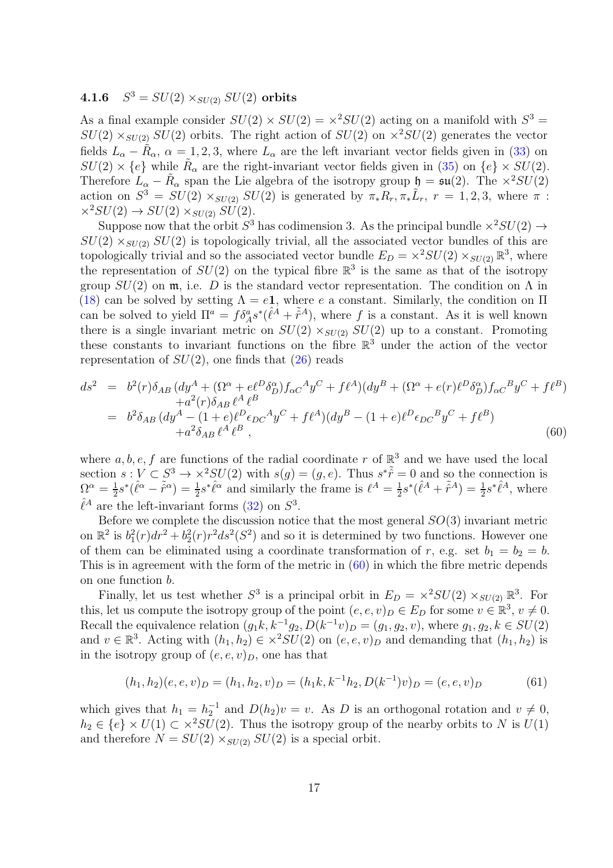#### <span id="page-16-1"></span> $4.1.6$  $S^3 = SU(2) \times_{SU(2)} SU(2)$  orbits

As a final example consider  $SU(2) \times SU(2) = \times^2 SU(2)$  acting on a manifold with  $S^3 =$  $SU(2) \times_{SU(2)} SU(2)$  orbits. The right action of  $SU(2)$  on  $\times^2 SU(2)$  generates the vector fields  $L_{\alpha} - \tilde{R}_{\alpha}$ ,  $\alpha = 1, 2, 3$ , where  $L_{\alpha}$  are the left invariant vector fields given in [\(33\)](#page-10-2) on  $SU(2) \times \{e\}$  while  $\tilde{R}_{\alpha}$  are the right-invariant vector fields given in [\(35\)](#page-10-1) on  $\{e\} \times SU(2)$ . Therefore  $L_{\alpha} - \tilde{R}_{\alpha}$  span the Lie algebra of the isotropy group  $\mathfrak{h} = \mathfrak{su}(2)$ . The  $\times^2SU(2)$ action on  $S^3 = SU(2) \times_{SU(2)} SU(2)$  is generated by  $\pi_* R_r, \pi_* \tilde{L}_r$ ,  $r = 1, 2, 3$ , where  $\pi$ :  $\times^2SU(2) \rightarrow SU(2) \times_{SU(2)} SU(2)$ .

Suppose now that the orbit  $S^3$  has codimension 3. As the principal bundle  $\times^2 SU(2) \rightarrow$  $SU(2) \times_{SU(2)} SU(2)$  is topologically trivial, all the associated vector bundles of this are topologically trivial and so the associated vector bundle  $E_D = \times^2 SU(2) \times_{SU(2)} \mathbb{R}^3$ , where the representation of  $SU(2)$  on the typical fibre  $\mathbb{R}^3$  is the same as that of the isotropy group  $SU(2)$  on  $\mathfrak{m}$ , i.e. D is the standard vector representation. The condition on  $\Lambda$  in [\(18\)](#page-7-1) can be solved by setting  $\Lambda = e\mathbf{1}$ , where e a constant. Similarly, the condition on  $\Pi$ can be solved to yield  $\Pi^a = f \delta^a_A s^* (\hat{\ell}^A + \tilde{r}^A)$ , where f is a constant. As it is well known there is a single invariant metric on  $SU(2) \times_{SU(2)} SU(2)$  up to a constant. Promoting these constants to invariant functions on the fibre  $\mathbb{R}^3$  under the action of the vector representation of  $SU(2)$ , one finds that  $(26)$  reads

<span id="page-16-0"></span>
$$
ds^{2} = b^{2}(r)\delta_{AB} (dy^{A} + (\Omega^{\alpha} + e\ell^{D}\delta_{D}^{\alpha})f_{\alpha C}{}^{A}y^{C} + f\ell^{A})(dy^{B} + (\Omega^{\alpha} + e(r)\ell^{D}\delta_{D}^{\alpha})f_{\alpha C}{}^{B}y^{C} + f\ell^{B})
$$
  
\n
$$
+ a^{2}(r)\delta_{AB} \ell^{A} \ell^{B}
$$
  
\n
$$
= b^{2}\delta_{AB} (dy^{A} - (1 + e)\ell^{D}\epsilon_{DC}{}^{A}y^{C} + f\ell^{A})(dy^{B} - (1 + e)\ell^{D}\epsilon_{DC}{}^{B}y^{C} + f\ell^{B})
$$
  
\n
$$
+ a^{2}\delta_{AB} \ell^{A} \ell^{B}, \qquad (60)
$$

where  $a, b, e, f$  are functions of the radial coordinate r of  $\mathbb{R}^3$  and we have used the local section  $s: V \subset S^3 \to \times^2 SU(2)$  with  $s(g) = (g, e)$ . Thus  $s^* \tilde{r} = 0$  and so the connection is  $\Omega^{\alpha}=\frac{1}{2}$  $\frac{1}{2}s^*(\hat{\ell}^{\alpha} - \tilde{r}^{\alpha}) = \frac{1}{2}s^*\hat{\ell}^{\alpha}$  and similarly the frame is  $\ell^A = \frac{1}{2}$  $\frac{1}{2}s^*(\hat{\ell}^A + \tilde{\hat{r}}^A) = \frac{1}{2}s^*\hat{\ell}^A$ , where  $\hat{\ell}^A$  are the left-invariant forms [\(32\)](#page-10-0) on  $S^3$ .

Before we complete the discussion notice that the most general  $SO(3)$  invariant metric on  $\mathbb{R}^2$  is  $b_1^2(r)dr^2 + b_2^2(r)r^2ds^2(S^2)$  and so it is determined by two functions. However one of them can be eliminated using a coordinate transformation of r, e.g. set  $b_1 = b_2 = b$ . This is in agreement with the form of the metric in  $(60)$  in which the fibre metric depends on one function b.

Finally, let us test whether  $S^3$  is a principal orbit in  $E_D = \times^2 SU(2) \times_{SU(2)} \mathbb{R}^3$ . For this, let us compute the isotropy group of the point  $(e, e, v)_D \in E_D$  for some  $v \in \mathbb{R}^3$ ,  $v \neq 0$ . Recall the equivalence relation  $(g_1k, k^{-1}g_2, D(k^{-1}v)_D = (g_1, g_2, v)$ , where  $g_1, g_2, k \in SU(2)$ and  $v \in \mathbb{R}^3$ . Acting with  $(h_1, h_2) \in \times^2 SU(2)$  on  $(e, e, v)_D$  and demanding that  $(h_1, h_2)$  is in the isotropy group of  $(e, e, v)_D$ , one has that

$$
(h_1, h_2)(e, e, v)_D = (h_1, h_2, v)_D = (h_1k, k^{-1}h_2, D(k^{-1})v)_D = (e, e, v)_D
$$
\n
$$
(61)
$$

which gives that  $h_1 = h_2^{-1}$  and  $D(h_2)v = v$ . As D is an orthogonal rotation and  $v \neq 0$ ,  $h_2 \in \{e\} \times U(1) \subset \times^2 SU(2)$ . Thus the isotropy group of the nearby orbits to N is  $U(1)$ and therefore  $N = SU(2) \times_{SU(2)} SU(2)$  is a special orbit.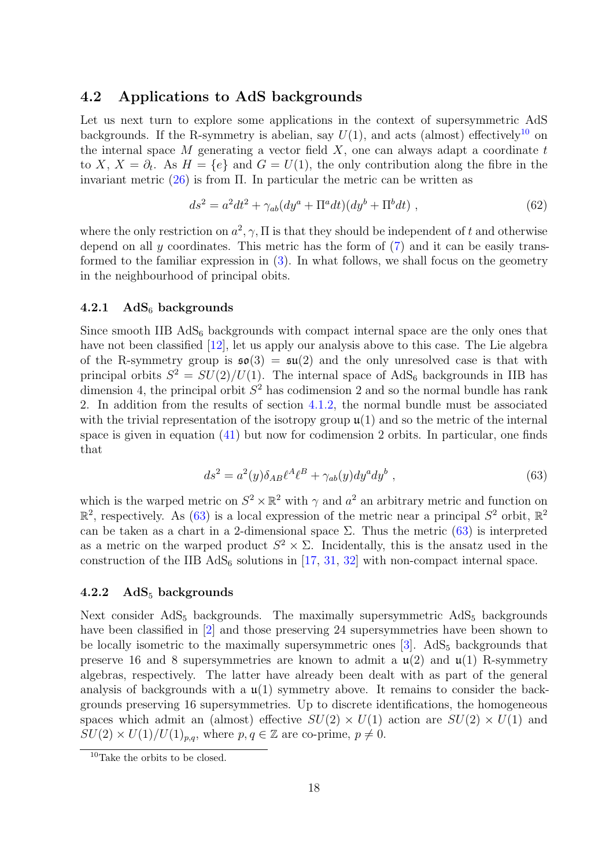## <span id="page-17-3"></span>4.2 Applications to AdS backgrounds

Let us next turn to explore some applications in the context of supersymmetric AdS backgrounds. If the R-symmetry is abelian, say  $U(1)$ , and acts (almost) effectively<sup>[10](#page-17-1)</sup> on the internal space  $M$  generating a vector field  $X$ , one can always adapt a coordinate  $t$ to X,  $X = \partial_t$ . As  $H = \{e\}$  and  $G = U(1)$ , the only contribution along the fibre in the invariant metric  $(26)$  is from  $\Pi$ . In particular the metric can be written as

$$
ds^{2} = a^{2}dt^{2} + \gamma_{ab}(dy^{a} + \Pi^{a}dt)(dy^{b} + \Pi^{b}dt) , \qquad (62)
$$

where the only restriction on  $a^2$ ,  $\gamma$ ,  $\Pi$  is that they should be independent of t and otherwise depend on all  $\gamma$  coordinates. This metric has the form of [\(7\)](#page-4-1) and it can be easily transformed to the familiar expression in [\(3\)](#page-3-0). In what follows, we shall focus on the geometry in the neighbourhood of principal obits.

#### <span id="page-17-0"></span>4.2.1  $AdS_6$  backgrounds

Since smooth IIB  $AdS_6$  backgrounds with compact internal space are the only ones that have not been classified [\[12\]](#page-21-5), let us apply our analysis above to this case. The Lie algebra of the R-symmetry group is  $\mathfrak{so}(3) = \mathfrak{su}(2)$  and the only unresolved case is that with principal orbits  $S^2 = SU(2)/U(1)$ . The internal space of AdS<sub>6</sub> backgrounds in IIB has dimension 4, the principal orbit  $S^2$  has codimension 2 and so the normal bundle has rank 2. In addition from the results of section [4.1.2,](#page-11-2) the normal bundle must be associated with the trivial representation of the isotropy group  $\mathfrak{u}(1)$  and so the metric of the internal space is given in equation [\(41\)](#page-12-1) but now for codimension 2 orbits. In particular, one finds that

<span id="page-17-2"></span>
$$
ds^2 = a^2(y)\delta_{AB}\ell^A\ell^B + \gamma_{ab}(y)dy^ady^b , \qquad (63)
$$

which is the warped metric on  $S^2 \times \mathbb{R}^2$  with  $\gamma$  and  $a^2$  an arbitrary metric and function on  $\mathbb{R}^2$ , respectively. As [\(63\)](#page-17-2) is a local expression of the metric near a principal  $S^2$  orbit,  $\mathbb{R}^2$ can be taken as a chart in a 2-dimensional space  $\Sigma$ . Thus the metric [\(63\)](#page-17-2) is interpreted as a metric on the warped product  $S^2 \times \Sigma$ . Incidentally, this is the ansatz used in the construction of the IIB  $AdS_6$  solutions in [\[17,](#page-21-10) [31,](#page-22-11) [32\]](#page-22-12) with non-compact internal space.

#### 4.2.2  $AdS_5$  backgrounds

Next consider  $AdS_5$  backgrounds. The maximally supersymmetric  $AdS_5$  backgrounds have been classified in [\[2\]](#page-20-1) and those preserving 24 supersymmetries have been shown to be locally isometric to the maximally supersymmetric ones  $[3]$ . AdS<sub>5</sub> backgrounds that preserve 16 and 8 supersymmetries are known to admit a  $\mathfrak{u}(2)$  and  $\mathfrak{u}(1)$  R-symmetry algebras, respectively. The latter have already been dealt with as part of the general analysis of backgrounds with a  $\mathfrak{u}(1)$  symmetry above. It remains to consider the backgrounds preserving 16 supersymmetries. Up to discrete identifications, the homogeneous spaces which admit an (almost) effective  $SU(2) \times U(1)$  action are  $SU(2) \times U(1)$  and  $SU(2) \times U(1)/U(1)_{p,q}$ , where  $p, q \in \mathbb{Z}$  are co-prime,  $p \neq 0$ .

<span id="page-17-1"></span><sup>10</sup>Take the orbits to be closed.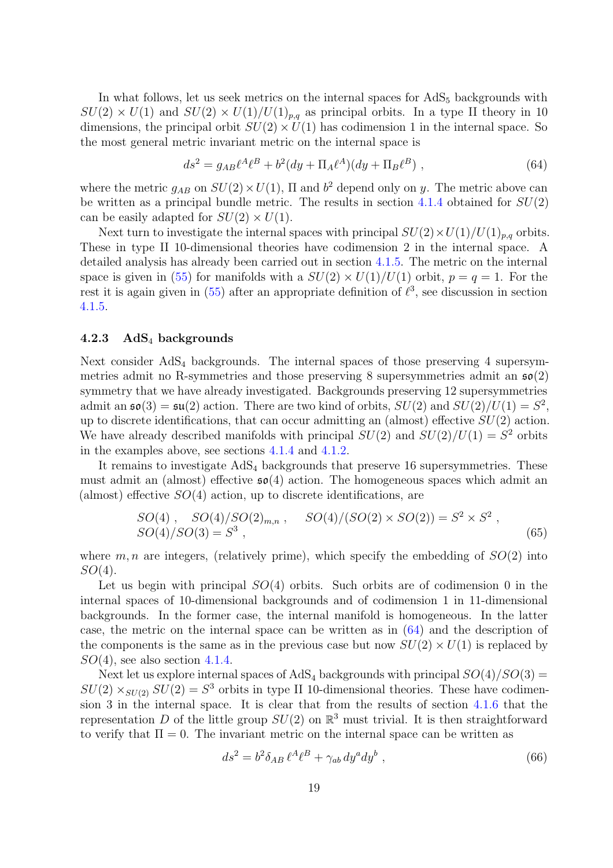In what follows, let us seek metrics on the internal spaces for  $AdS<sub>5</sub>$  backgrounds with  $SU(2) \times U(1)$  and  $SU(2) \times U(1)/U(1)_{p,q}$  as principal orbits. In a type II theory in 10 dimensions, the principal orbit  $SU(2) \times U(1)$  has codimension 1 in the internal space. So the most general metric invariant metric on the internal space is

<span id="page-18-0"></span>
$$
ds^{2} = g_{AB}\ell^{A}\ell^{B} + b^{2}(dy + \Pi_{A}\ell^{A})(dy + \Pi_{B}\ell^{B}), \qquad (64)
$$

where the metric  $g_{AB}$  on  $SU(2) \times U(1)$ ,  $\Pi$  and  $b^2$  depend only on y. The metric above can be written as a principal bundle metric. The results in section  $4.1.4$  obtained for  $SU(2)$ can be easily adapted for  $SU(2) \times U(1)$ .

Next turn to investigate the internal spaces with principal  $SU(2) \times U(1)/U(1)_{p,q}$  orbits. These in type II 10-dimensional theories have codimension 2 in the internal space. A detailed analysis has already been carried out in section [4.1.5.](#page-14-1) The metric on the internal space is given in [\(55\)](#page-15-1) for manifolds with a  $SU(2) \times U(1)/U(1)$  orbit,  $p = q = 1$ . For the rest it is again given in  $(55)$  after an appropriate definition of  $\ell^3$ , see discussion in section [4.1.5.](#page-14-1)

#### 4.2.3 AdS<sup>4</sup> backgrounds

Next consider AdS<sup>4</sup> backgrounds. The internal spaces of those preserving 4 supersymmetries admit no R-symmetries and those preserving 8 supersymmetries admit an  $\mathfrak{so}(2)$ symmetry that we have already investigated. Backgrounds preserving 12 supersymmetries admit an  $\mathfrak{so}(3) = \mathfrak{su}(2)$  action. There are two kind of orbits,  $SU(2)$  and  $SU(2)/U(1) = S^2$ , up to discrete identifications, that can occur admitting an (almost) effective  $SU(2)$  action. We have already described manifolds with principal  $SU(2)$  and  $SU(2)/U(1) = S^2$  orbits in the examples above, see sections [4.1.4](#page-13-2) and [4.1.2.](#page-11-2)

It remains to investigate  $AdS_4$  backgrounds that preserve 16 supersymmetries. These must admit an (almost) effective  $\mathfrak{so}(4)$  action. The homogeneous spaces which admit an (almost) effective  $SO(4)$  action, up to discrete identifications, are

$$
SO(4), SO(4)/SO(2)_{m,n}, SO(4)/(SO(2) \times SO(2)) = S^2 \times S^2 , SO(4)/SO(3) = S^3 , \qquad (65)
$$

where  $m, n$  are integers, (relatively prime), which specify the embedding of  $SO(2)$  into  $SO(4)$ .

Let us begin with principal  $SO(4)$  orbits. Such orbits are of codimension 0 in the internal spaces of 10-dimensional backgrounds and of codimension 1 in 11-dimensional backgrounds. In the former case, the internal manifold is homogeneous. In the latter case, the metric on the internal space can be written as in [\(64\)](#page-18-0) and the description of the components is the same as in the previous case but now  $SU(2) \times U(1)$  is replaced by  $SO(4)$ , see also section [4.1.4.](#page-13-2)

Next let us explore internal spaces of AdS<sub>4</sub> backgrounds with principal  $SO(4)/SO(3)$  =  $SU(2) \times_{SU(2)} SU(2) = S^3$  orbits in type II 10-dimensional theories. These have codimension 3 in the internal space. It is clear that from the results of section [4.1.6](#page-16-1) that the representation D of the little group  $SU(2)$  on  $\mathbb{R}^3$  must trivial. It is then straightforward to verify that  $\Pi = 0$ . The invariant metric on the internal space can be written as

$$
ds^2 = b^2 \delta_{AB} \,\ell^A \ell^B + \gamma_{ab} \, dy^a dy^b \,, \tag{66}
$$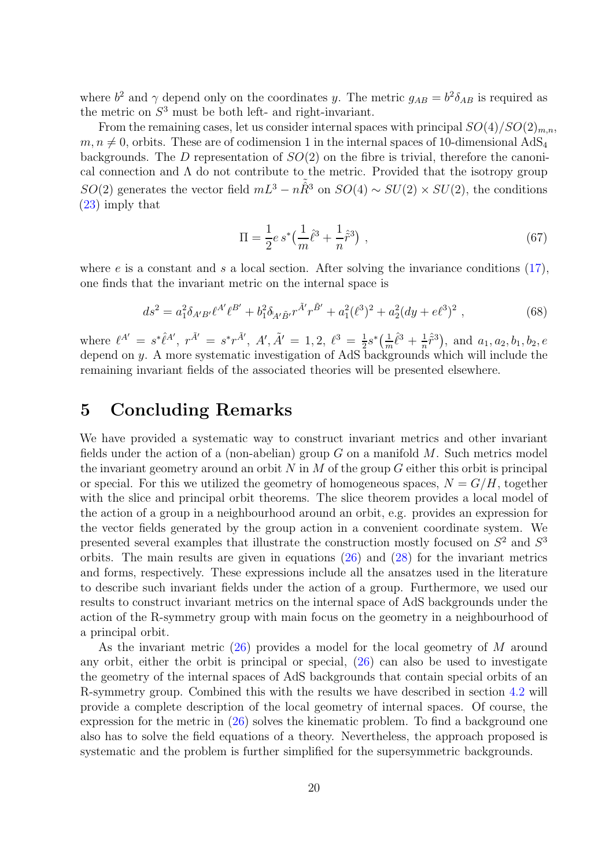where  $b^2$  and  $\gamma$  depend only on the coordinates y. The metric  $g_{AB} = b^2 \delta_{AB}$  is required as the metric on  $S<sup>3</sup>$  must be both left- and right-invariant.

From the remaining cases, let us consider internal spaces with principal  $SO(4)/SO(2)_{m,n}$ ,  $m, n \neq 0$ , orbits. These are of codimension 1 in the internal spaces of 10-dimensional AdS<sub>4</sub> backgrounds. The D representation of  $SO(2)$  on the fibre is trivial, therefore the canonical connection and  $\Lambda$  do not contribute to the metric. Provided that the isotropy group  $SO(2)$  generates the vector field  $mL^3 - n\tilde{R}^3$  on  $SO(4) \sim SU(2) \times SU(2)$ , the conditions [\(23\)](#page-7-2) imply that

$$
\Pi = \frac{1}{2} e s^* \left( \frac{1}{m} \hat{\ell}^3 + \frac{1}{n} \hat{\tilde{r}}^3 \right) , \qquad (67)
$$

where  $e$  is a constant and s a local section. After solving the invariance conditions  $(17)$ , one finds that the invariant metric on the internal space is

$$
ds^{2} = a_{1}^{2} \delta_{A'B'} \ell^{A'} \ell^{B'} + b_{1}^{2} \delta_{A'\tilde{B}'} r^{\tilde{A}'} r^{\tilde{B}'} + a_{1}^{2} (\ell^{3})^{2} + a_{2}^{2} (dy + e\ell^{3})^{2} , \qquad (68)
$$

where  $\ell^{A'} = s^* \hat{\ell}^{A'}, r^{\tilde{A}'} = s^* r^{\tilde{A}'}, A', \tilde{A}' = 1, 2, \ell^3 = \frac{1}{2}$  $\frac{1}{2} s^* \left( \frac{1}{m} \right)$  $rac{1}{m}\hat{\ell}^3 + \frac{1}{n}$  $(\frac{1}{n}\hat{\tilde{r}}^3)$ , and  $a_1, a_2, b_1, b_2, e$ depend on y. A more systematic investigation of AdS backgrounds which will include the remaining invariant fields of the associated theories will be presented elsewhere.

## 5 Concluding Remarks

We have provided a systematic way to construct invariant metrics and other invariant fields under the action of a (non-abelian) group  $G$  on a manifold  $M$ . Such metrics model the invariant geometry around an orbit  $N$  in  $M$  of the group  $G$  either this orbit is principal or special. For this we utilized the geometry of homogeneous spaces,  $N = G/H$ , together with the slice and principal orbit theorems. The slice theorem provides a local model of the action of a group in a neighbourhood around an orbit, e.g. provides an expression for the vector fields generated by the group action in a convenient coordinate system. We presented several examples that illustrate the construction mostly focused on  $S^2$  and  $S^3$ orbits. The main results are given in equations [\(26\)](#page-8-0) and [\(28\)](#page-8-1) for the invariant metrics and forms, respectively. These expressions include all the ansatzes used in the literature to describe such invariant fields under the action of a group. Furthermore, we used our results to construct invariant metrics on the internal space of AdS backgrounds under the action of the R-symmetry group with main focus on the geometry in a neighbourhood of a principal orbit.

As the invariant metric  $(26)$  provides a model for the local geometry of M around any orbit, either the orbit is principal or special, [\(26\)](#page-8-0) can also be used to investigate the geometry of the internal spaces of AdS backgrounds that contain special orbits of an R-symmetry group. Combined this with the results we have described in section [4.2](#page-17-3) will provide a complete description of the local geometry of internal spaces. Of course, the expression for the metric in [\(26\)](#page-8-0) solves the kinematic problem. To find a background one also has to solve the field equations of a theory. Nevertheless, the approach proposed is systematic and the problem is further simplified for the supersymmetric backgrounds.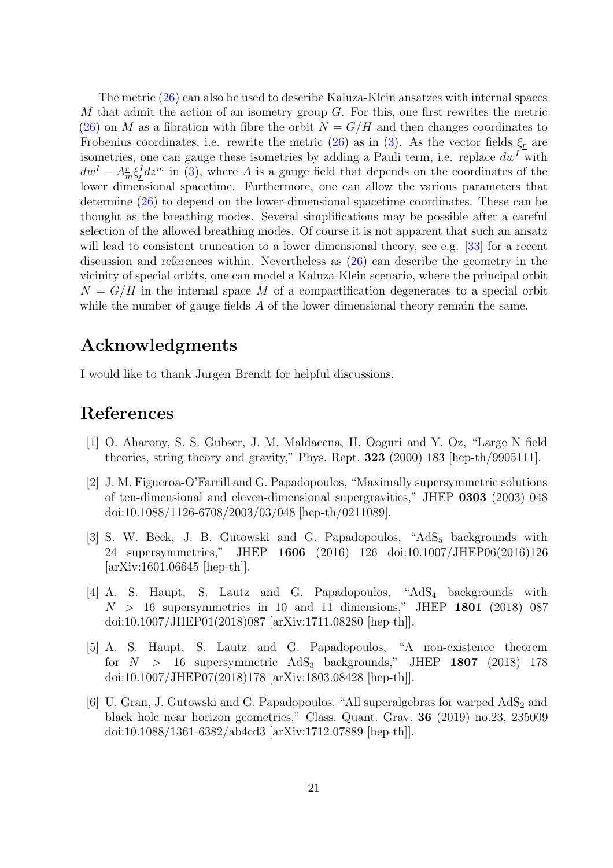The metric [\(26\)](#page-8-0) can also be used to describe Kaluza-Klein ansatzes with internal spaces M that admit the action of an isometry group  $G$ . For this, one first rewrites the metric  $(26)$  on M as a fibration with fibre the orbit  $N = G/H$  and then changes coordinates to Frobenius coordinates, i.e. rewrite the metric [\(26\)](#page-8-0) as in [\(3\)](#page-3-0). As the vector fields  $\xi_r$  are isometries, one can gauge these isometries by adding a Pauli term, i.e. replace  $dw<sup>I</sup>$  with  $dw^{I} - A_{m}^{r} \xi_{\underline{r}}^{I} dz^{m}$  in [\(3\)](#page-3-0), where A is a gauge field that depends on the coordinates of the lower dimensional spacetime. Furthermore, one can allow the various parameters that determine [\(26\)](#page-8-0) to depend on the lower-dimensional spacetime coordinates. These can be thought as the breathing modes. Several simplifications may be possible after a careful selection of the allowed breathing modes. Of course it is not apparent that such an ansatz will lead to consistent truncation to a lower dimensional theory, see e.g. [\[33\]](#page-22-13) for a recent discussion and references within. Nevertheless as [\(26\)](#page-8-0) can describe the geometry in the vicinity of special orbits, one can model a Kaluza-Klein scenario, where the principal orbit  $N = G/H$  in the internal space M of a compactification degenerates to a special orbit while the number of gauge fields A of the lower dimensional theory remain the same.

## Acknowledgments

I would like to thank Jurgen Brendt for helpful discussions.

# <span id="page-20-0"></span>References

- <span id="page-20-1"></span>[1] O. Aharony, S. S. Gubser, J. M. Maldacena, H. Ooguri and Y. Oz, "Large N field theories, string theory and gravity," Phys. Rept. 323 (2000) 183 [hep-th/9905111].
- [2] J. M. Figueroa-O'Farrill and G. Papadopoulos, "Maximally supersymmetric solutions of ten-dimensional and eleven-dimensional supergravities," JHEP 0303 (2003) 048 doi:10.1088/1126-6708/2003/03/048 [hep-th/0211089].
- <span id="page-20-2"></span>[3] S. W. Beck, J. B. Gutowski and G. Papadopoulos, " $AdS_5$  backgrounds with 24 supersymmetries," JHEP 1606 (2016) 126 doi:10.1007/JHEP06(2016)126 [arXiv:1601.06645 [hep-th]].
- <span id="page-20-3"></span>[4] A. S. Haupt, S. Lautz and G. Papadopoulos, "AdS<sup>4</sup> backgrounds with  $N > 16$  supersymmetries in 10 and 11 dimensions," JHEP 1801 (2018) 087 doi:10.1007/JHEP01(2018)087 [arXiv:1711.08280 [hep-th]].
- <span id="page-20-4"></span>[5] A. S. Haupt, S. Lautz and G. Papadopoulos, "A non-existence theorem for  $N > 16$  supersymmetric AdS<sub>3</sub> backgrounds," JHEP 1807 (2018) 178 doi:10.1007/JHEP07(2018)178 [arXiv:1803.08428 [hep-th]].
- <span id="page-20-5"></span>[6] U. Gran, J. Gutowski and G. Papadopoulos, "All superalgebras for warped  $AdS_2$  and black hole near horizon geometries," Class. Quant. Grav. 36 (2019) no.23, 235009 doi:10.1088/1361-6382/ab4cd3 [arXiv:1712.07889 [hep-th]].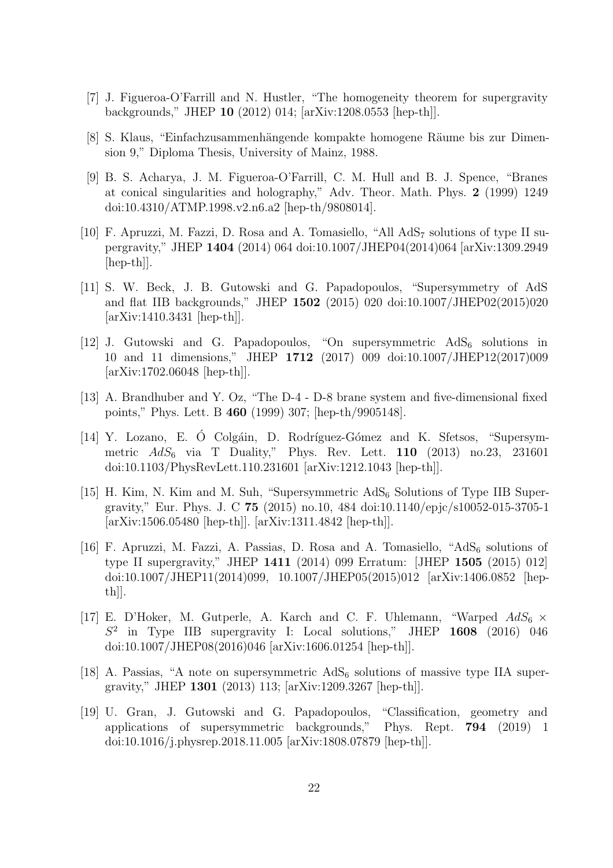- <span id="page-21-1"></span><span id="page-21-0"></span>[7] J. Figueroa-O'Farrill and N. Hustler, "The homogeneity theorem for supergravity backgrounds," JHEP 10 (2012) 014; [arXiv:1208.0553 [hep-th]].
- <span id="page-21-2"></span>[8] S. Klaus, "Einfachzusammenh¨angende kompakte homogene R¨aume bis zur Dimension 9," Diploma Thesis, University of Mainz, 1988.
- [9] B. S. Acharya, J. M. Figueroa-O'Farrill, C. M. Hull and B. J. Spence, "Branes at conical singularities and holography," Adv. Theor. Math. Phys. 2 (1999) 1249 doi:10.4310/ATMP.1998.v2.n6.a2 [hep-th/9808014].
- <span id="page-21-3"></span>[10] F. Apruzzi, M. Fazzi, D. Rosa and A. Tomasiello, "All AdS<sup>7</sup> solutions of type II supergravity," JHEP 1404 (2014) 064 doi:10.1007/JHEP04(2014)064 [arXiv:1309.2949 [hep-th]].
- <span id="page-21-4"></span>[11] S. W. Beck, J. B. Gutowski and G. Papadopoulos, "Supersymmetry of AdS and flat IIB backgrounds," JHEP 1502 (2015) 020 doi:10.1007/JHEP02(2015)020 [arXiv:1410.3431 [hep-th]].
- <span id="page-21-5"></span>[12] J. Gutowski and G. Papadopoulos, "On supersymmetric  $AdS_6$  solutions in 10 and 11 dimensions," JHEP 1712 (2017) 009 doi:10.1007/JHEP12(2017)009 [arXiv:1702.06048 [hep-th]].
- <span id="page-21-6"></span>[13] A. Brandhuber and Y. Oz, "The D-4 - D-8 brane system and five-dimensional fixed points," Phys. Lett. B 460 (1999) 307; [hep-th/9905148].
- [14] Y. Lozano, E. Ó Colgáin, D. Rodríguez-Gómez and K. Sfetsos, "Supersymmetric  $AdS_6$  via T Duality," Phys. Rev. Lett. 110 (2013) no.23, 231601 doi:10.1103/PhysRevLett.110.231601 [arXiv:1212.1043 [hep-th]].
- [15] H. Kim, N. Kim and M. Suh, "Supersymmetric  $AdS_6$  Solutions of Type IIB Supergravity," Eur. Phys. J. C 75 (2015) no.10, 484 doi:10.1140/epjc/s10052-015-3705-1 [arXiv:1506.05480 [hep-th]]. [arXiv:1311.4842 [hep-th]].
- <span id="page-21-9"></span>[16] F. Apruzzi, M. Fazzi, A. Passias, D. Rosa and A. Tomasiello, " $AdS_6$  solutions of type II supergravity," JHEP 1411 (2014) 099 Erratum: [JHEP 1505 (2015) 012] doi:10.1007/JHEP11(2014)099, 10.1007/JHEP05(2015)012 [arXiv:1406.0852 [hepth]].
- <span id="page-21-10"></span>[17] E. D'Hoker, M. Gutperle, A. Karch and C. F. Uhlemann, "Warped  $AdS_6 \times$  $S^2$  in Type IIB supergravity I: Local solutions," JHEP 1608 (2016) 046 doi:10.1007/JHEP08(2016)046 [arXiv:1606.01254 [hep-th]].
- <span id="page-21-7"></span>[18] A. Passias, "A note on supersymmetric  $AdS_6$  solutions of massive type IIA supergravity," JHEP 1301 (2013) 113; [arXiv:1209.3267 [hep-th]].
- <span id="page-21-8"></span>[19] U. Gran, J. Gutowski and G. Papadopoulos, "Classification, geometry and applications of supersymmetric backgrounds," Phys. Rept. 794 (2019) 1 doi:10.1016/j.physrep.2018.11.005 [arXiv:1808.07879 [hep-th]].